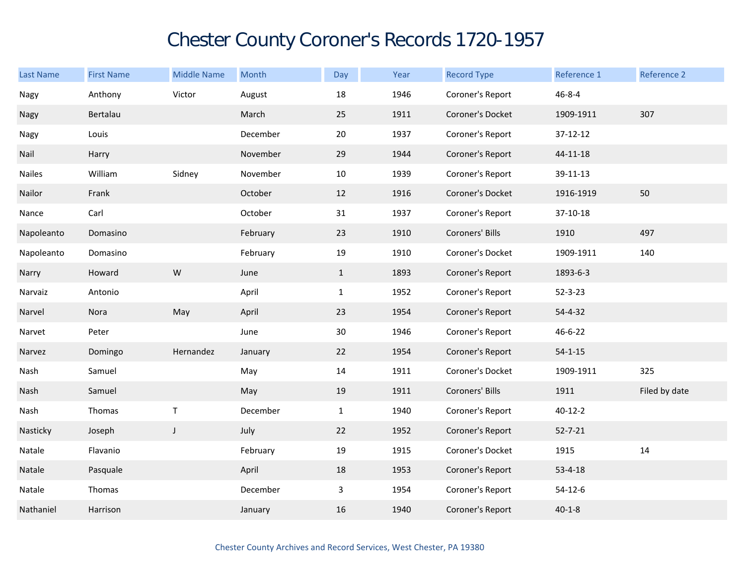## Chester County Coroner's Records 1720-1957

| <b>Last Name</b> | <b>First Name</b> | <b>Middle Name</b> | Month    | Day          | Year | <b>Record Type</b> | Reference 1   | Reference 2   |
|------------------|-------------------|--------------------|----------|--------------|------|--------------------|---------------|---------------|
| Nagy             | Anthony           | Victor             | August   | 18           | 1946 | Coroner's Report   | $46 - 8 - 4$  |               |
| Nagy             | Bertalau          |                    | March    | 25           | 1911 | Coroner's Docket   | 1909-1911     | 307           |
| Nagy             | Louis             |                    | December | 20           | 1937 | Coroner's Report   | 37-12-12      |               |
| Nail             | Harry             |                    | November | 29           | 1944 | Coroner's Report   | 44-11-18      |               |
| <b>Nailes</b>    | William           | Sidney             | November | 10           | 1939 | Coroner's Report   | 39-11-13      |               |
| Nailor           | Frank             |                    | October  | 12           | 1916 | Coroner's Docket   | 1916-1919     | 50            |
| Nance            | Carl              |                    | October  | 31           | 1937 | Coroner's Report   | 37-10-18      |               |
| Napoleanto       | Domasino          |                    | February | 23           | 1910 | Coroners' Bills    | 1910          | 497           |
| Napoleanto       | Domasino          |                    | February | 19           | 1910 | Coroner's Docket   | 1909-1911     | 140           |
| Narry            | Howard            | ${\sf W}$          | June     | $\mathbf{1}$ | 1893 | Coroner's Report   | 1893-6-3      |               |
| Narvaiz          | Antonio           |                    | April    | $\mathbf{1}$ | 1952 | Coroner's Report   | $52 - 3 - 23$ |               |
| Narvel           | Nora              | May                | April    | 23           | 1954 | Coroner's Report   | 54-4-32       |               |
| Narvet           | Peter             |                    | June     | 30           | 1946 | Coroner's Report   | 46-6-22       |               |
| Narvez           | Domingo           | Hernandez          | January  | 22           | 1954 | Coroner's Report   | $54 - 1 - 15$ |               |
| Nash             | Samuel            |                    | May      | 14           | 1911 | Coroner's Docket   | 1909-1911     | 325           |
| Nash             | Samuel            |                    | May      | 19           | 1911 | Coroners' Bills    | 1911          | Filed by date |
| Nash             | Thomas            | $\sf T$            | December | $\mathbf{1}$ | 1940 | Coroner's Report   | $40 - 12 - 2$ |               |
| Nasticky         | Joseph            | $\mathsf{J}$       | July     | 22           | 1952 | Coroner's Report   | $52 - 7 - 21$ |               |
| Natale           | Flavanio          |                    | February | $19\,$       | 1915 | Coroner's Docket   | 1915          | 14            |
| Natale           | Pasquale          |                    | April    | 18           | 1953 | Coroner's Report   | $53 - 4 - 18$ |               |
| Natale           | Thomas            |                    | December | $\mathbf{3}$ | 1954 | Coroner's Report   | $54 - 12 - 6$ |               |
| Nathaniel        | Harrison          |                    | January  | 16           | 1940 | Coroner's Report   | $40 - 1 - 8$  |               |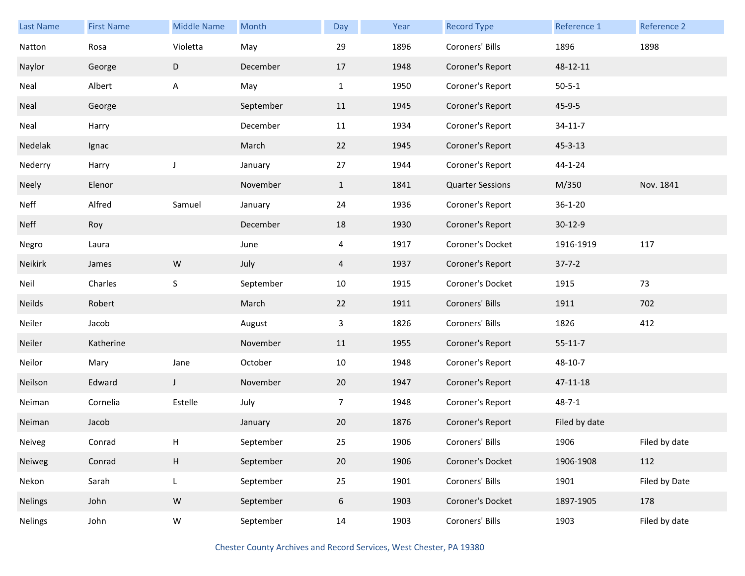| Last Name      | <b>First Name</b> | <b>Middle Name</b> | Month     | Day            | Year | <b>Record Type</b>      | Reference 1   | <b>Reference 2</b> |
|----------------|-------------------|--------------------|-----------|----------------|------|-------------------------|---------------|--------------------|
| Natton         | Rosa              | Violetta           | May       | 29             | 1896 | Coroners' Bills         | 1896          | 1898               |
| Naylor         | George            | D                  | December  | 17             | 1948 | Coroner's Report        | 48-12-11      |                    |
| Neal           | Albert            | A                  | May       | $\mathbf{1}$   | 1950 | Coroner's Report        | $50 - 5 - 1$  |                    |
| Neal           | George            |                    | September | 11             | 1945 | Coroner's Report        | $45 - 9 - 5$  |                    |
| Neal           | Harry             |                    | December  | 11             | 1934 | Coroner's Report        | $34 - 11 - 7$ |                    |
| Nedelak        | Ignac             |                    | March     | 22             | 1945 | Coroner's Report        | $45 - 3 - 13$ |                    |
| Nederry        | Harry             | J                  | January   | 27             | 1944 | Coroner's Report        | 44-1-24       |                    |
| Neely          | Elenor            |                    | November  | $\mathbf{1}$   | 1841 | <b>Quarter Sessions</b> | M/350         | Nov. 1841          |
| <b>Neff</b>    | Alfred            | Samuel             | January   | 24             | 1936 | Coroner's Report        | $36 - 1 - 20$ |                    |
| <b>Neff</b>    | Roy               |                    | December  | 18             | 1930 | Coroner's Report        | $30 - 12 - 9$ |                    |
| Negro          | Laura             |                    | June      | 4              | 1917 | Coroner's Docket        | 1916-1919     | 117                |
| Neikirk        | James             | ${\sf W}$          | July      | 4              | 1937 | Coroner's Report        | $37 - 7 - 2$  |                    |
| Neil           | Charles           | $\sf S$            | September | 10             | 1915 | Coroner's Docket        | 1915          | 73                 |
| <b>Neilds</b>  | Robert            |                    | March     | 22             | 1911 | Coroners' Bills         | 1911          | 702                |
| Neiler         | Jacob             |                    | August    | 3              | 1826 | Coroners' Bills         | 1826          | 412                |
| Neiler         | Katherine         |                    | November  | 11             | 1955 | Coroner's Report        | $55 - 11 - 7$ |                    |
| Neilor         | Mary              | Jane               | October   | 10             | 1948 | Coroner's Report        | 48-10-7       |                    |
| Neilson        | Edward            | J                  | November  | 20             | 1947 | Coroner's Report        | 47-11-18      |                    |
| Neiman         | Cornelia          | Estelle            | July      | $\overline{7}$ | 1948 | Coroner's Report        | $48 - 7 - 1$  |                    |
| Neiman         | Jacob             |                    | January   | 20             | 1876 | Coroner's Report        | Filed by date |                    |
| Neiveg         | Conrad            | Н                  | September | 25             | 1906 | Coroners' Bills         | 1906          | Filed by date      |
| Neiweg         | Conrad            | $\mathsf H$        | September | $20\,$         | 1906 | Coroner's Docket        | 1906-1908     | 112                |
| Nekon          | Sarah             | L                  | September | 25             | 1901 | Coroners' Bills         | 1901          | Filed by Date      |
| <b>Nelings</b> | John              | W                  | September | 6              | 1903 | Coroner's Docket        | 1897-1905     | 178                |
| <b>Nelings</b> | John              | ${\sf W}$          | September | 14             | 1903 | Coroners' Bills         | 1903          | Filed by date      |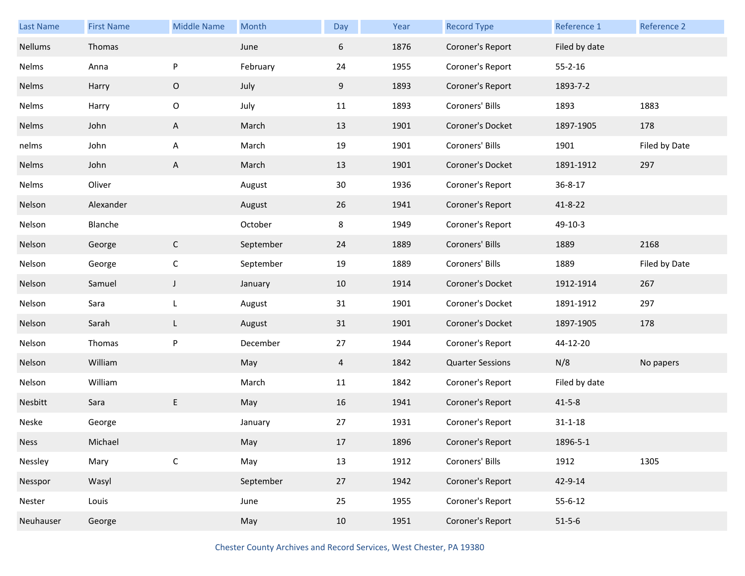| Last Name   | <b>First Name</b> | <b>Middle Name</b> | Month     | Day | Year | <b>Record Type</b>      | Reference 1   | Reference 2   |
|-------------|-------------------|--------------------|-----------|-----|------|-------------------------|---------------|---------------|
| Nellums     | Thomas            |                    | June      | 6   | 1876 | Coroner's Report        | Filed by date |               |
| Nelms       | Anna              | P                  | February  | 24  | 1955 | Coroner's Report        | $55 - 2 - 16$ |               |
| Nelms       | Harry             | O                  | July      | 9   | 1893 | Coroner's Report        | 1893-7-2      |               |
| Nelms       | Harry             | $\mathsf O$        | July      | 11  | 1893 | Coroners' Bills         | 1893          | 1883          |
| Nelms       | John              | A                  | March     | 13  | 1901 | Coroner's Docket        | 1897-1905     | 178           |
| nelms       | John              | A                  | March     | 19  | 1901 | Coroners' Bills         | 1901          | Filed by Date |
| Nelms       | John              | A                  | March     | 13  | 1901 | Coroner's Docket        | 1891-1912     | 297           |
| Nelms       | Oliver            |                    | August    | 30  | 1936 | Coroner's Report        | 36-8-17       |               |
| Nelson      | Alexander         |                    | August    | 26  | 1941 | Coroner's Report        | $41 - 8 - 22$ |               |
| Nelson      | Blanche           |                    | October   | 8   | 1949 | Coroner's Report        | 49-10-3       |               |
| Nelson      | George            | $\mathsf{C}$       | September | 24  | 1889 | Coroners' Bills         | 1889          | 2168          |
| Nelson      | George            | $\mathsf C$        | September | 19  | 1889 | Coroners' Bills         | 1889          | Filed by Date |
| Nelson      | Samuel            | $\mathsf J$        | January   | 10  | 1914 | Coroner's Docket        | 1912-1914     | 267           |
| Nelson      | Sara              | L                  | August    | 31  | 1901 | Coroner's Docket        | 1891-1912     | 297           |
| Nelson      | Sarah             | L                  | August    | 31  | 1901 | Coroner's Docket        | 1897-1905     | 178           |
| Nelson      | Thomas            | P                  | December  | 27  | 1944 | Coroner's Report        | 44-12-20      |               |
| Nelson      | William           |                    | May       | 4   | 1842 | <b>Quarter Sessions</b> | N/8           | No papers     |
| Nelson      | William           |                    | March     | 11  | 1842 | Coroner's Report        | Filed by date |               |
| Nesbitt     | Sara              | E                  | May       | 16  | 1941 | Coroner's Report        | $41 - 5 - 8$  |               |
| Neske       | George            |                    | January   | 27  | 1931 | Coroner's Report        | $31 - 1 - 18$ |               |
| <b>Ness</b> | Michael           |                    | May       | 17  | 1896 | Coroner's Report        | 1896-5-1      |               |
| Nessley     | Mary              | $\mathsf C$        | May       | 13  | 1912 | Coroners' Bills         | 1912          | 1305          |
| Nesspor     | Wasyl             |                    | September | 27  | 1942 | Coroner's Report        | 42-9-14       |               |
| Nester      | Louis             |                    | June      | 25  | 1955 | Coroner's Report        | $55 - 6 - 12$ |               |
| Neuhauser   | George            |                    | May       | 10  | 1951 | Coroner's Report        | $51 - 5 - 6$  |               |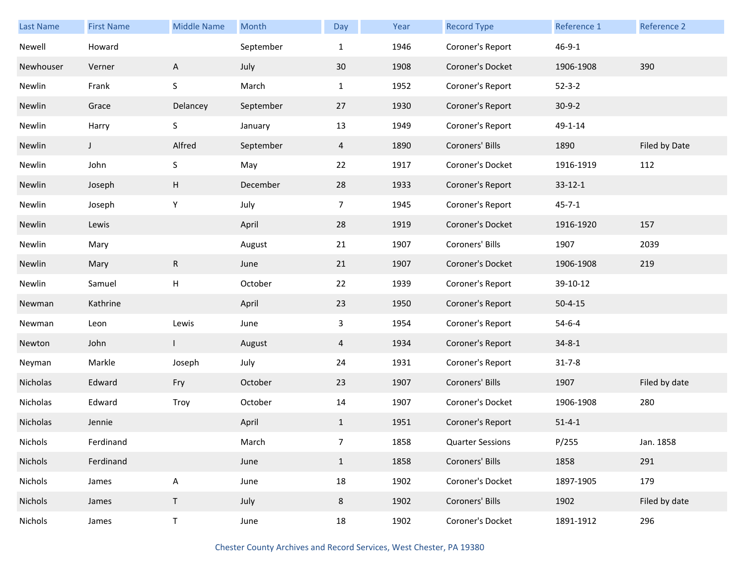| Last Name | <b>First Name</b> | <b>Middle Name</b> | Month     | Day            | Year | <b>Record Type</b>      | Reference 1   | Reference 2   |
|-----------|-------------------|--------------------|-----------|----------------|------|-------------------------|---------------|---------------|
| Newell    | Howard            |                    | September | $\mathbf{1}$   | 1946 | Coroner's Report        | $46 - 9 - 1$  |               |
| Newhouser | Verner            | $\mathsf{A}$       | July      | 30             | 1908 | Coroner's Docket        | 1906-1908     | 390           |
| Newlin    | Frank             | $\sf S$            | March     | $\mathbf{1}$   | 1952 | Coroner's Report        | $52 - 3 - 2$  |               |
| Newlin    | Grace             | Delancey           | September | 27             | 1930 | Coroner's Report        | $30-9-2$      |               |
| Newlin    | Harry             | $\sf S$            | January   | 13             | 1949 | Coroner's Report        | 49-1-14       |               |
| Newlin    | $\mathsf{L}$      | Alfred             | September | $\overline{4}$ | 1890 | Coroners' Bills         | 1890          | Filed by Date |
| Newlin    | John              | S                  | May       | 22             | 1917 | Coroner's Docket        | 1916-1919     | 112           |
| Newlin    | Joseph            | H                  | December  | 28             | 1933 | Coroner's Report        | $33 - 12 - 1$ |               |
| Newlin    | Joseph            | Υ                  | July      | $\overline{7}$ | 1945 | Coroner's Report        | $45 - 7 - 1$  |               |
| Newlin    | Lewis             |                    | April     | 28             | 1919 | Coroner's Docket        | 1916-1920     | 157           |
| Newlin    | Mary              |                    | August    | 21             | 1907 | Coroners' Bills         | 1907          | 2039          |
| Newlin    | Mary              | R                  | June      | 21             | 1907 | Coroner's Docket        | 1906-1908     | 219           |
| Newlin    | Samuel            | $\mathsf{H}$       | October   | 22             | 1939 | Coroner's Report        | 39-10-12      |               |
| Newman    | Kathrine          |                    | April     | 23             | 1950 | Coroner's Report        | $50 - 4 - 15$ |               |
| Newman    | Leon              | Lewis              | June      | 3              | 1954 | Coroner's Report        | $54 - 6 - 4$  |               |
| Newton    | John              | $\mathbf{I}$       | August    | 4              | 1934 | Coroner's Report        | $34 - 8 - 1$  |               |
| Neyman    | Markle            | Joseph             | July      | 24             | 1931 | Coroner's Report        | $31 - 7 - 8$  |               |
| Nicholas  | Edward            | Fry                | October   | 23             | 1907 | Coroners' Bills         | 1907          | Filed by date |
| Nicholas  | Edward            | Troy               | October   | 14             | 1907 | Coroner's Docket        | 1906-1908     | 280           |
| Nicholas  | Jennie            |                    | April     | $\mathbf{1}$   | 1951 | Coroner's Report        | $51 - 4 - 1$  |               |
| Nichols   | Ferdinand         |                    | March     | $\overline{7}$ | 1858 | <b>Quarter Sessions</b> | P/255         | Jan. 1858     |
| Nichols   | Ferdinand         |                    | June      | $\mathbf{1}$   | 1858 | Coroners' Bills         | 1858          | 291           |
| Nichols   | James             | A                  | June      | 18             | 1902 | Coroner's Docket        | 1897-1905     | 179           |
| Nichols   | James             | $\mathsf T$        | July      | 8              | 1902 | Coroners' Bills         | 1902          | Filed by date |
| Nichols   | James             | $\top$             | June      | 18             | 1902 | Coroner's Docket        | 1891-1912     | 296           |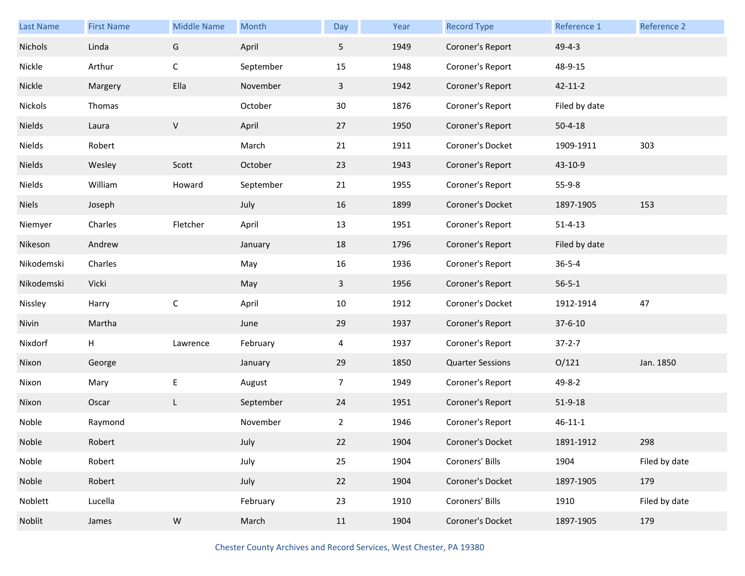| <b>Last Name</b> | <b>First Name</b> | <b>Middle Name</b> | Month     | Day            | Year | <b>Record Type</b>      | Reference 1   | Reference 2   |
|------------------|-------------------|--------------------|-----------|----------------|------|-------------------------|---------------|---------------|
| Nichols          | Linda             | G                  | April     | 5 <sub>1</sub> | 1949 | Coroner's Report        | $49 - 4 - 3$  |               |
| Nickle           | Arthur            | $\mathsf C$        | September | 15             | 1948 | Coroner's Report        | 48-9-15       |               |
| Nickle           | Margery           | Ella               | November  | $\mathbf{3}$   | 1942 | Coroner's Report        | $42 - 11 - 2$ |               |
| Nickols          | Thomas            |                    | October   | 30             | 1876 | Coroner's Report        | Filed by date |               |
| Nields           | Laura             | $\sf V$            | April     | 27             | 1950 | Coroner's Report        | $50 - 4 - 18$ |               |
| Nields           | Robert            |                    | March     | 21             | 1911 | Coroner's Docket        | 1909-1911     | 303           |
| Nields           | Wesley            | Scott              | October   | 23             | 1943 | Coroner's Report        | 43-10-9       |               |
| Nields           | William           | Howard             | September | 21             | 1955 | Coroner's Report        | $55-9-8$      |               |
| <b>Niels</b>     | Joseph            |                    | July      | 16             | 1899 | Coroner's Docket        | 1897-1905     | 153           |
| Niemyer          | Charles           | Fletcher           | April     | 13             | 1951 | Coroner's Report        | $51 - 4 - 13$ |               |
| Nikeson          | Andrew            |                    | January   | 18             | 1796 | Coroner's Report        | Filed by date |               |
| Nikodemski       | Charles           |                    | May       | 16             | 1936 | Coroner's Report        | $36 - 5 - 4$  |               |
| Nikodemski       | Vicki             |                    | May       | $\mathbf{3}$   | 1956 | Coroner's Report        | $56 - 5 - 1$  |               |
| Nissley          | Harry             | $\mathsf C$        | April     | 10             | 1912 | Coroner's Docket        | 1912-1914     | 47            |
| Nivin            | Martha            |                    | June      | 29             | 1937 | Coroner's Report        | $37 - 6 - 10$ |               |
| Nixdorf          | н                 | Lawrence           | February  | 4              | 1937 | Coroner's Report        | $37 - 2 - 7$  |               |
| Nixon            | George            |                    | January   | 29             | 1850 | <b>Quarter Sessions</b> | O/121         | Jan. 1850     |
| Nixon            | Mary              | E                  | August    | $\overline{7}$ | 1949 | Coroner's Report        | 49-8-2        |               |
| Nixon            | Oscar             | L                  | September | 24             | 1951 | Coroner's Report        | 51-9-18       |               |
| Noble            | Raymond           |                    | November  | 2              | 1946 | Coroner's Report        | $46 - 11 - 1$ |               |
| Noble            | Robert            |                    | July      | 22             | 1904 | Coroner's Docket        | 1891-1912     | 298           |
| Noble            | Robert            |                    | July      | 25             | 1904 | Coroners' Bills         | 1904          | Filed by date |
|                  |                   |                    |           |                |      | Coroner's Docket        | 1897-1905     | 179           |
| Noble            | Robert            |                    | July      | 22             | 1904 |                         |               |               |
| Noblett          | Lucella           |                    | February  | 23             | 1910 | Coroners' Bills         | 1910          | Filed by date |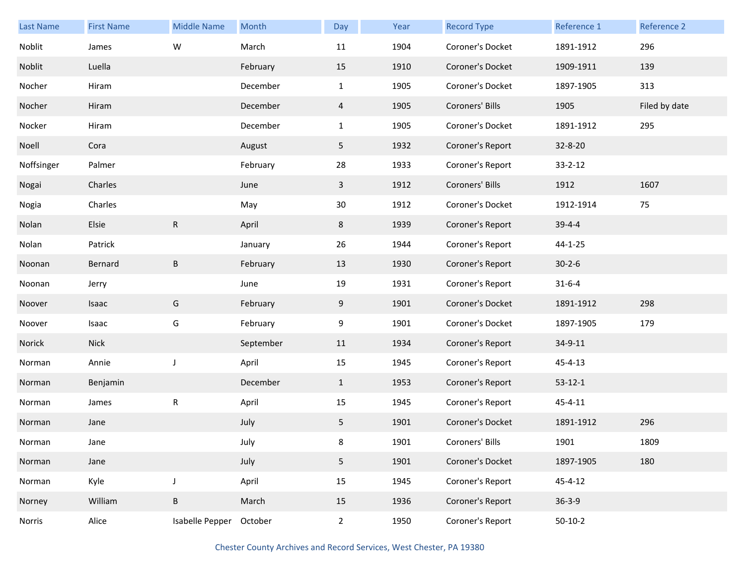| Last Name  | <b>First Name</b> | <b>Middle Name</b> | Month     | Day            | Year | <b>Record Type</b> | Reference 1   | Reference 2   |
|------------|-------------------|--------------------|-----------|----------------|------|--------------------|---------------|---------------|
| Noblit     | James             | W                  | March     | 11             | 1904 | Coroner's Docket   | 1891-1912     | 296           |
| Noblit     | Luella            |                    | February  | 15             | 1910 | Coroner's Docket   | 1909-1911     | 139           |
| Nocher     | Hiram             |                    | December  | $\mathbf{1}$   | 1905 | Coroner's Docket   | 1897-1905     | 313           |
| Nocher     | Hiram             |                    | December  | $\overline{4}$ | 1905 | Coroners' Bills    | 1905          | Filed by date |
| Nocker     | Hiram             |                    | December  | $\mathbf{1}$   | 1905 | Coroner's Docket   | 1891-1912     | 295           |
| Noell      | Cora              |                    | August    | 5              | 1932 | Coroner's Report   | 32-8-20       |               |
| Noffsinger | Palmer            |                    | February  | 28             | 1933 | Coroner's Report   | $33 - 2 - 12$ |               |
| Nogai      | Charles           |                    | June      | $\mathbf{3}$   | 1912 | Coroners' Bills    | 1912          | 1607          |
| Nogia      | Charles           |                    | May       | 30             | 1912 | Coroner's Docket   | 1912-1914     | 75            |
| Nolan      | Elsie             | $\mathsf{R}$       | April     | 8              | 1939 | Coroner's Report   | $39 - 4 - 4$  |               |
| Nolan      | Patrick           |                    | January   | 26             | 1944 | Coroner's Report   | $44 - 1 - 25$ |               |
| Noonan     | Bernard           | B                  | February  | 13             | 1930 | Coroner's Report   | $30 - 2 - 6$  |               |
| Noonan     | Jerry             |                    | June      | 19             | 1931 | Coroner's Report   | $31 - 6 - 4$  |               |
| Noover     | Isaac             | G                  | February  | 9              | 1901 | Coroner's Docket   | 1891-1912     | 298           |
| Noover     | Isaac             | G                  | February  | 9              | 1901 | Coroner's Docket   | 1897-1905     | 179           |
| Norick     | <b>Nick</b>       |                    | September | 11             | 1934 | Coroner's Report   | 34-9-11       |               |
| Norman     | Annie             | $\mathsf J$        | April     | 15             | 1945 | Coroner's Report   | $45 - 4 - 13$ |               |
| Norman     | Benjamin          |                    | December  | $\mathbf{1}$   | 1953 | Coroner's Report   | $53-12-1$     |               |
| Norman     | James             | ${\sf R}$          | April     | 15             | 1945 | Coroner's Report   | $45 - 4 - 11$ |               |
| Norman     | Jane              |                    | July      | 5              | 1901 | Coroner's Docket   | 1891-1912     | 296           |
| Norman     | Jane              |                    | July      | 8              | 1901 | Coroners' Bills    | 1901          | 1809          |
| Norman     | Jane              |                    | July      | 5              | 1901 | Coroner's Docket   | 1897-1905     | 180           |
| Norman     | Kyle              | $\mathsf J$        | April     | 15             | 1945 | Coroner's Report   | $45 - 4 - 12$ |               |
| Norney     | William           | B                  | March     | 15             | 1936 | Coroner's Report   | $36 - 3 - 9$  |               |
| Norris     | Alice             | Isabelle Pepper    | October   | $\overline{2}$ | 1950 | Coroner's Report   | $50-10-2$     |               |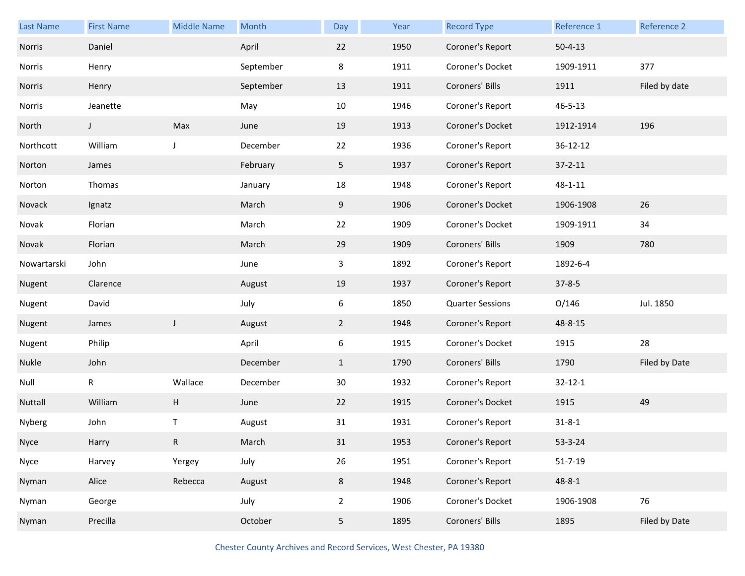| <b>Last Name</b> | <b>First Name</b> | <b>Middle Name</b> | Month     | Day            | Year | <b>Record Type</b>      | Reference 1   | Reference 2   |
|------------------|-------------------|--------------------|-----------|----------------|------|-------------------------|---------------|---------------|
| Norris           | Daniel            |                    | April     | 22             | 1950 | Coroner's Report        | $50 - 4 - 13$ |               |
| Norris           | Henry             |                    | September | 8              | 1911 | Coroner's Docket        | 1909-1911     | 377           |
| Norris           | Henry             |                    | September | 13             | 1911 | Coroners' Bills         | 1911          | Filed by date |
| Norris           | Jeanette          |                    | May       | 10             | 1946 | Coroner's Report        | $46 - 5 - 13$ |               |
| North            | J                 | Max                | June      | 19             | 1913 | Coroner's Docket        | 1912-1914     | 196           |
| Northcott        | William           | J                  | December  | 22             | 1936 | Coroner's Report        | 36-12-12      |               |
| Norton           | James             |                    | February  | 5              | 1937 | Coroner's Report        | $37 - 2 - 11$ |               |
| Norton           | Thomas            |                    | January   | 18             | 1948 | Coroner's Report        | $48 - 1 - 11$ |               |
| Novack           | Ignatz            |                    | March     | 9              | 1906 | Coroner's Docket        | 1906-1908     | 26            |
| Novak            | Florian           |                    | March     | 22             | 1909 | Coroner's Docket        | 1909-1911     | 34            |
| Novak            | Florian           |                    | March     | 29             | 1909 | Coroners' Bills         | 1909          | 780           |
| Nowartarski      | John              |                    | June      | 3              | 1892 | Coroner's Report        | 1892-6-4      |               |
| Nugent           | Clarence          |                    | August    | 19             | 1937 | Coroner's Report        | $37 - 8 - 5$  |               |
| Nugent           | David             |                    | July      | 6              | 1850 | <b>Quarter Sessions</b> | O/146         | Jul. 1850     |
| Nugent           | James             | $\mathsf J$        | August    | $\overline{2}$ | 1948 | Coroner's Report        | 48-8-15       |               |
| Nugent           | Philip            |                    | April     | 6              | 1915 | Coroner's Docket        | 1915          | 28            |
| Nukle            | John              |                    | December  | $\mathbf{1}$   | 1790 | Coroners' Bills         | 1790          | Filed by Date |
| Null             | $\mathsf R$       | Wallace            | December  | 30             | 1932 | Coroner's Report        | $32 - 12 - 1$ |               |
| Nuttall          | William           | H                  | June      | 22             | 1915 | Coroner's Docket        | 1915          | 49            |
| Nyberg           | John              | Τ                  | August    | 31             | 1931 | Coroner's Report        | $31 - 8 - 1$  |               |
| Nyce             | Harry             | R                  | March     | 31             | 1953 | Coroner's Report        | $53 - 3 - 24$ |               |
| Nyce             | Harvey            | Yergey             | July      | 26             | 1951 | Coroner's Report        | $51 - 7 - 19$ |               |
| Nyman            | Alice             | Rebecca            | August    | 8              | 1948 | Coroner's Report        | $48 - 8 - 1$  |               |
| Nyman            | George            |                    | July      | $\overline{2}$ | 1906 | Coroner's Docket        | 1906-1908     | 76            |
| Nyman            | Precilla          |                    | October   | 5 <sub>5</sub> | 1895 | Coroners' Bills         | 1895          | Filed by Date |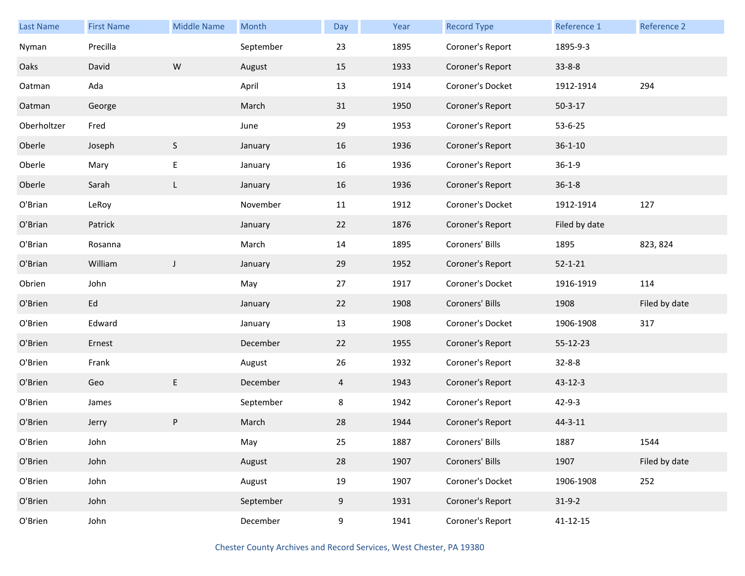| <b>Last Name</b> | <b>First Name</b> | <b>Middle Name</b> | Month     | Day            | Year | <b>Record Type</b> | Reference 1   | Reference 2   |
|------------------|-------------------|--------------------|-----------|----------------|------|--------------------|---------------|---------------|
| Nyman            | Precilla          |                    | September | 23             | 1895 | Coroner's Report   | 1895-9-3      |               |
| Oaks             | David             | ${\sf W}$          | August    | 15             | 1933 | Coroner's Report   | $33 - 8 - 8$  |               |
| Oatman           | Ada               |                    | April     | 13             | 1914 | Coroner's Docket   | 1912-1914     | 294           |
| Oatman           | George            |                    | March     | 31             | 1950 | Coroner's Report   | $50 - 3 - 17$ |               |
| Oberholtzer      | Fred              |                    | June      | 29             | 1953 | Coroner's Report   | 53-6-25       |               |
| Oberle           | Joseph            | $\mathsf S$        | January   | 16             | 1936 | Coroner's Report   | $36 - 1 - 10$ |               |
| Oberle           | Mary              | E                  | January   | 16             | 1936 | Coroner's Report   | $36 - 1 - 9$  |               |
| Oberle           | Sarah             | L                  | January   | 16             | 1936 | Coroner's Report   | $36 - 1 - 8$  |               |
| O'Brian          | LeRoy             |                    | November  | 11             | 1912 | Coroner's Docket   | 1912-1914     | 127           |
| O'Brian          | Patrick           |                    | January   | 22             | 1876 | Coroner's Report   | Filed by date |               |
| O'Brian          | Rosanna           |                    | March     | 14             | 1895 | Coroners' Bills    | 1895          | 823, 824      |
| O'Brian          | William           | J                  | January   | 29             | 1952 | Coroner's Report   | $52 - 1 - 21$ |               |
| Obrien           | John              |                    | May       | 27             | 1917 | Coroner's Docket   | 1916-1919     | 114           |
| O'Brien          | Ed                |                    | January   | 22             | 1908 | Coroners' Bills    | 1908          | Filed by date |
| O'Brien          | Edward            |                    | January   | 13             | 1908 | Coroner's Docket   | 1906-1908     | 317           |
| O'Brien          | Ernest            |                    | December  | 22             | 1955 | Coroner's Report   | 55-12-23      |               |
| O'Brien          | Frank             |                    | August    | 26             | 1932 | Coroner's Report   | $32 - 8 - 8$  |               |
| O'Brien          | Geo               | E                  | December  | $\overline{4}$ | 1943 | Coroner's Report   | 43-12-3       |               |
| O'Brien          | James             |                    | September | 8              | 1942 | Coroner's Report   | $42 - 9 - 3$  |               |
| O'Brien          | Jerry             | P                  | March     | 28             | 1944 | Coroner's Report   | $44 - 3 - 11$ |               |
| O'Brien          | John              |                    | May       | 25             | 1887 | Coroners' Bills    | 1887          | 1544          |
| O'Brien          | John              |                    | August    | 28             | 1907 | Coroners' Bills    | 1907          | Filed by date |
| O'Brien          | John              |                    | August    | 19             | 1907 | Coroner's Docket   | 1906-1908     | 252           |
| O'Brien          | John              |                    | September | 9              | 1931 | Coroner's Report   | $31-9-2$      |               |
| O'Brien          | John              |                    | December  | 9              | 1941 | Coroner's Report   | 41-12-15      |               |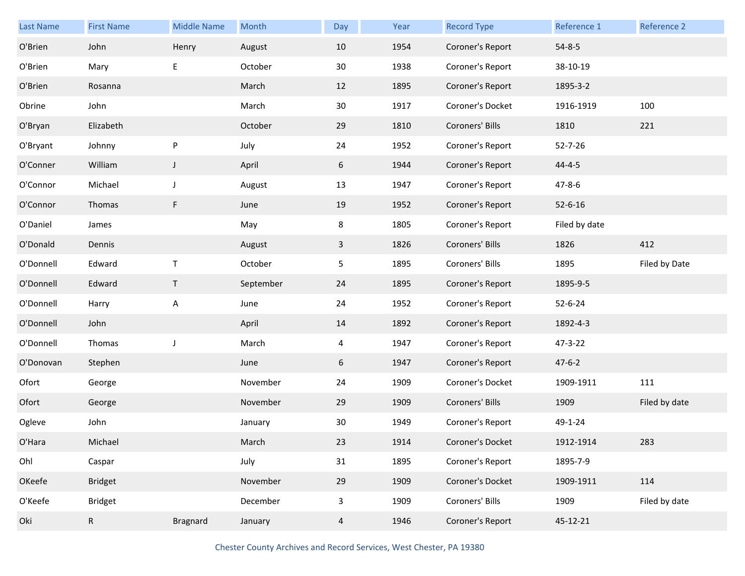| Last Name | <b>First Name</b> | <b>Middle Name</b> | Month     | Day            | Year | <b>Record Type</b> | Reference 1   | Reference 2   |
|-----------|-------------------|--------------------|-----------|----------------|------|--------------------|---------------|---------------|
| O'Brien   | John              | Henry              | August    | 10             | 1954 | Coroner's Report   | $54 - 8 - 5$  |               |
| O'Brien   | Mary              | E                  | October   | 30             | 1938 | Coroner's Report   | 38-10-19      |               |
| O'Brien   | Rosanna           |                    | March     | 12             | 1895 | Coroner's Report   | 1895-3-2      |               |
| Obrine    | John              |                    | March     | 30             | 1917 | Coroner's Docket   | 1916-1919     | 100           |
| O'Bryan   | Elizabeth         |                    | October   | 29             | 1810 | Coroners' Bills    | 1810          | 221           |
| O'Bryant  | Johnny            | P                  | July      | 24             | 1952 | Coroner's Report   | $52 - 7 - 26$ |               |
| O'Conner  | William           | $\mathsf J$        | April     | 6              | 1944 | Coroner's Report   | $44 - 4 - 5$  |               |
| O'Connor  | Michael           | J                  | August    | 13             | 1947 | Coroner's Report   | $47 - 8 - 6$  |               |
| O'Connor  | Thomas            | F                  | June      | 19             | 1952 | Coroner's Report   | $52 - 6 - 16$ |               |
| O'Daniel  | James             |                    | May       | 8              | 1805 | Coroner's Report   | Filed by date |               |
| O'Donald  | Dennis            |                    | August    | $\mathbf{3}$   | 1826 | Coroners' Bills    | 1826          | 412           |
| O'Donnell | Edward            | $\mathsf T$        | October   | 5              | 1895 | Coroners' Bills    | 1895          | Filed by Date |
| O'Donnell | Edward            | $\mathsf T$        | September | 24             | 1895 | Coroner's Report   | 1895-9-5      |               |
| O'Donnell | Harry             | Α                  | June      | 24             | 1952 | Coroner's Report   | $52 - 6 - 24$ |               |
| O'Donnell | John              |                    | April     | 14             | 1892 | Coroner's Report   | 1892-4-3      |               |
| O'Donnell | Thomas            | J                  | March     | 4              | 1947 | Coroner's Report   | 47-3-22       |               |
| O'Donovan | Stephen           |                    | June      | 6              | 1947 | Coroner's Report   | $47 - 6 - 2$  |               |
| Ofort     | George            |                    | November  | 24             | 1909 | Coroner's Docket   | 1909-1911     | 111           |
| Ofort     | George            |                    | November  | 29             | 1909 | Coroners' Bills    | 1909          | Filed by date |
| Ogleve    | John              |                    | January   | 30             | 1949 | Coroner's Report   | 49-1-24       |               |
| O'Hara    | Michael           |                    | March     | 23             | 1914 | Coroner's Docket   | 1912-1914     | 283           |
| Ohl       | Caspar            |                    | July      | 31             | 1895 | Coroner's Report   | 1895-7-9      |               |
| OKeefe    | <b>Bridget</b>    |                    | November  | 29             | 1909 | Coroner's Docket   | 1909-1911     | 114           |
| O'Keefe   | <b>Bridget</b>    |                    | December  | $\mathbf{3}$   | 1909 | Coroners' Bills    | 1909          | Filed by date |
| Oki       | $\mathsf{R}$      | <b>Bragnard</b>    | January   | $\overline{4}$ | 1946 | Coroner's Report   | 45-12-21      |               |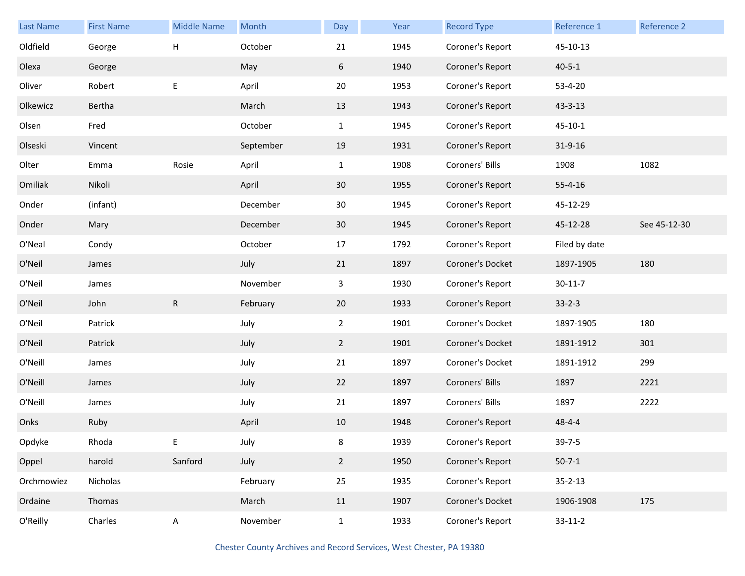| <b>Last Name</b> | <b>First Name</b> | <b>Middle Name</b> | Month     | Day            | Year | <b>Record Type</b> | Reference 1   | <b>Reference 2</b> |
|------------------|-------------------|--------------------|-----------|----------------|------|--------------------|---------------|--------------------|
| Oldfield         | George            | Н                  | October   | 21             | 1945 | Coroner's Report   | 45-10-13      |                    |
| Olexa            | George            |                    | May       | 6              | 1940 | Coroner's Report   | $40 - 5 - 1$  |                    |
| Oliver           | Robert            | E                  | April     | 20             | 1953 | Coroner's Report   | 53-4-20       |                    |
| Olkewicz         | Bertha            |                    | March     | 13             | 1943 | Coroner's Report   | $43 - 3 - 13$ |                    |
| Olsen            | Fred              |                    | October   | $\mathbf{1}$   | 1945 | Coroner's Report   | $45 - 10 - 1$ |                    |
| Olseski          | Vincent           |                    | September | 19             | 1931 | Coroner's Report   | 31-9-16       |                    |
| Olter            | Emma              | Rosie              | April     | $\mathbf{1}$   | 1908 | Coroners' Bills    | 1908          | 1082               |
| Omiliak          | Nikoli            |                    | April     | 30             | 1955 | Coroner's Report   | $55 - 4 - 16$ |                    |
| Onder            | (infant)          |                    | December  | 30             | 1945 | Coroner's Report   | 45-12-29      |                    |
| Onder            | Mary              |                    | December  | 30             | 1945 | Coroner's Report   | 45-12-28      | See 45-12-30       |
| O'Neal           | Condy             |                    | October   | 17             | 1792 | Coroner's Report   | Filed by date |                    |
| O'Neil           | James             |                    | July      | 21             | 1897 | Coroner's Docket   | 1897-1905     | 180                |
| O'Neil           | James             |                    | November  | $\mathbf{3}$   | 1930 | Coroner's Report   | $30 - 11 - 7$ |                    |
| O'Neil           | John              | $\mathsf R$        | February  | 20             | 1933 | Coroner's Report   | $33 - 2 - 3$  |                    |
| O'Neil           | Patrick           |                    | July      | $2^{\circ}$    | 1901 | Coroner's Docket   | 1897-1905     | 180                |
| O'Neil           | Patrick           |                    | July      | $\overline{2}$ | 1901 | Coroner's Docket   | 1891-1912     | 301                |
| O'Neill          | James             |                    | July      | 21             | 1897 | Coroner's Docket   | 1891-1912     | 299                |
| O'Neill          | James             |                    | July      | 22             | 1897 | Coroners' Bills    | 1897          | 2221               |
| O'Neill          | James             |                    | July      | 21             | 1897 | Coroners' Bills    | 1897          | 2222               |
| Onks             | Ruby              |                    | April     | 10             | 1948 | Coroner's Report   | $48 - 4 - 4$  |                    |
| Opdyke           | Rhoda             | E                  | July      | 8              | 1939 | Coroner's Report   | $39 - 7 - 5$  |                    |
| Oppel            | harold            | Sanford            | July      | $2^{\circ}$    | 1950 | Coroner's Report   | $50 - 7 - 1$  |                    |
| Orchmowiez       | Nicholas          |                    | February  | 25             | 1935 | Coroner's Report   | $35 - 2 - 13$ |                    |
| Ordaine          | Thomas            |                    | March     | 11             | 1907 | Coroner's Docket   | 1906-1908     | 175                |
| O'Reilly         | Charles           | $\mathsf{A}$       | November  | $\mathbf{1}$   | 1933 | Coroner's Report   | $33-11-2$     |                    |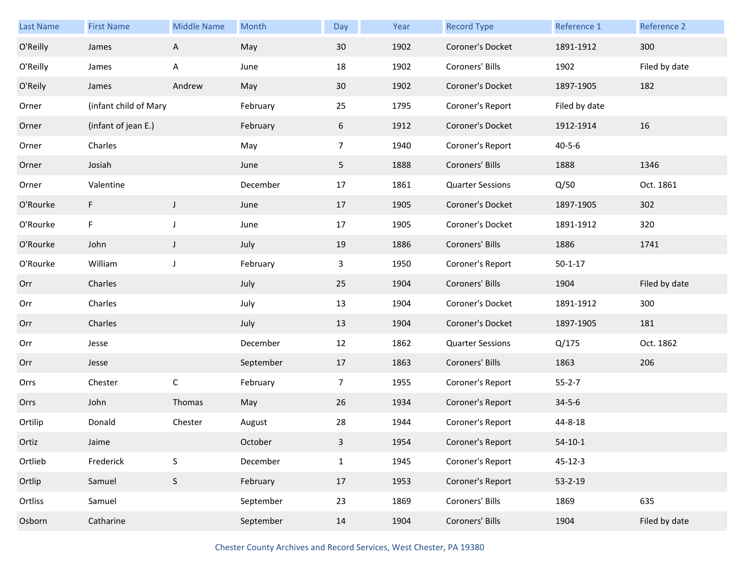| <b>Last Name</b> | <b>First Name</b>     | <b>Middle Name</b> | Month     | Day            | Year | <b>Record Type</b>      | Reference 1   | Reference 2   |
|------------------|-----------------------|--------------------|-----------|----------------|------|-------------------------|---------------|---------------|
| O'Reilly         | James                 | A                  | May       | 30             | 1902 | Coroner's Docket        | 1891-1912     | 300           |
| O'Reilly         | James                 | A                  | June      | 18             | 1902 | Coroners' Bills         | 1902          | Filed by date |
| O'Reily          | James                 | Andrew             | May       | 30             | 1902 | Coroner's Docket        | 1897-1905     | 182           |
| Orner            | (infant child of Mary |                    | February  | 25             | 1795 | Coroner's Report        | Filed by date |               |
| Orner            | (infant of jean E.)   |                    | February  | 6              | 1912 | Coroner's Docket        | 1912-1914     | 16            |
| Orner            | Charles               |                    | May       | $\overline{7}$ | 1940 | Coroner's Report        | $40 - 5 - 6$  |               |
| Orner            | Josiah                |                    | June      | 5 <sub>1</sub> | 1888 | Coroners' Bills         | 1888          | 1346          |
| Orner            | Valentine             |                    | December  | 17             | 1861 | <b>Quarter Sessions</b> | Q/50          | Oct. 1861     |
| O'Rourke         | F                     | J                  | June      | 17             | 1905 | Coroner's Docket        | 1897-1905     | 302           |
| O'Rourke         | F                     | J                  | June      | 17             | 1905 | Coroner's Docket        | 1891-1912     | 320           |
| O'Rourke         | John                  | J                  | July      | 19             | 1886 | Coroners' Bills         | 1886          | 1741          |
| O'Rourke         | William               | J                  | February  | 3              | 1950 | Coroner's Report        | $50 - 1 - 17$ |               |
| Orr              | Charles               |                    | July      | 25             | 1904 | Coroners' Bills         | 1904          | Filed by date |
| Orr              | Charles               |                    | July      | 13             | 1904 | Coroner's Docket        | 1891-1912     | 300           |
| Orr              | Charles               |                    | July      | 13             | 1904 | Coroner's Docket        | 1897-1905     | 181           |
| Orr              | Jesse                 |                    | December  | 12             | 1862 | <b>Quarter Sessions</b> | Q/175         | Oct. 1862     |
| Orr              | Jesse                 |                    | September | 17             | 1863 | Coroners' Bills         | 1863          | 206           |
| Orrs             | Chester               | $\mathsf C$        | February  | $\overline{7}$ | 1955 | Coroner's Report        | $55 - 2 - 7$  |               |
| Orrs             | John                  | Thomas             | May       | 26             | 1934 | Coroner's Report        | $34 - 5 - 6$  |               |
| Ortilip          | Donald                | Chester            | August    | 28             | 1944 | Coroner's Report        | 44-8-18       |               |
| Ortiz            | Jaime                 |                    | October   | 3              | 1954 | Coroner's Report        | $54-10-1$     |               |
| Ortlieb          | Frederick             | $\sf S$            | December  | $\mathbf{1}$   | 1945 | Coroner's Report        | $45 - 12 - 3$ |               |
| Ortlip           | Samuel                | $\sf S$            | February  | 17             | 1953 | Coroner's Report        | $53 - 2 - 19$ |               |
| Ortliss          | Samuel                |                    | September | 23             | 1869 | Coroners' Bills         | 1869          | 635           |
| Osborn           | Catharine             |                    | September | 14             | 1904 | Coroners' Bills         | 1904          | Filed by date |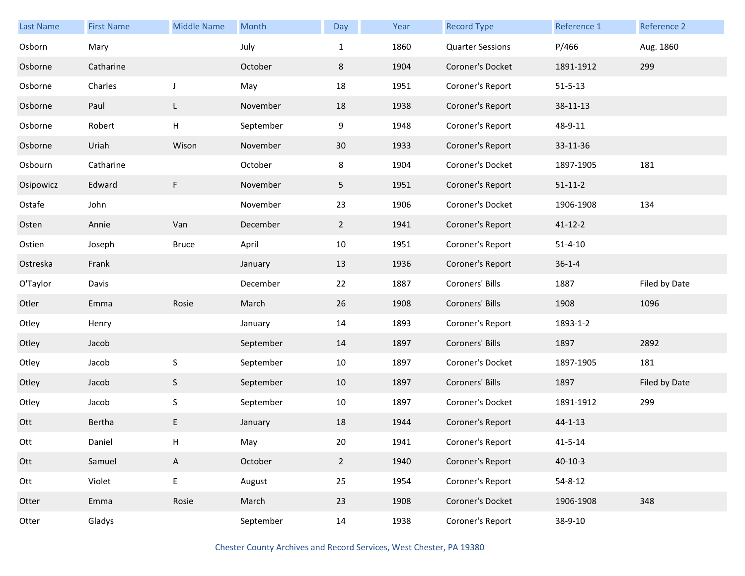| <b>Last Name</b> | <b>First Name</b> | <b>Middle Name</b> | Month     | Day            | Year | <b>Record Type</b>      | Reference 1   | Reference 2   |
|------------------|-------------------|--------------------|-----------|----------------|------|-------------------------|---------------|---------------|
| Osborn           | Mary              |                    | July      | $\mathbf{1}$   | 1860 | <b>Quarter Sessions</b> | P/466         | Aug. 1860     |
| Osborne          | Catharine         |                    | October   | 8              | 1904 | Coroner's Docket        | 1891-1912     | 299           |
| Osborne          | Charles           | J                  | May       | 18             | 1951 | Coroner's Report        | $51 - 5 - 13$ |               |
| Osborne          | Paul              | L                  | November  | 18             | 1938 | Coroner's Report        | 38-11-13      |               |
| Osborne          | Robert            | Н                  | September | 9              | 1948 | Coroner's Report        | 48-9-11       |               |
| Osborne          | Uriah             | Wison              | November  | 30             | 1933 | Coroner's Report        | 33-11-36      |               |
| Osbourn          | Catharine         |                    | October   | 8              | 1904 | Coroner's Docket        | 1897-1905     | 181           |
| Osipowicz        | Edward            | F                  | November  | 5 <sub>1</sub> | 1951 | Coroner's Report        | $51 - 11 - 2$ |               |
| Ostafe           | John              |                    | November  | 23             | 1906 | Coroner's Docket        | 1906-1908     | 134           |
| Osten            | Annie             | Van                | December  | $\overline{2}$ | 1941 | Coroner's Report        | $41 - 12 - 2$ |               |
| Ostien           | Joseph            | <b>Bruce</b>       | April     | 10             | 1951 | Coroner's Report        | $51 - 4 - 10$ |               |
| Ostreska         | Frank             |                    | January   | 13             | 1936 | Coroner's Report        | $36 - 1 - 4$  |               |
| O'Taylor         | Davis             |                    | December  | 22             | 1887 | Coroners' Bills         | 1887          | Filed by Date |
| Otler            | Emma              | Rosie              | March     | 26             | 1908 | Coroners' Bills         | 1908          | 1096          |
| Otley            | Henry             |                    | January   | 14             | 1893 | Coroner's Report        | 1893-1-2      |               |
| Otley            | Jacob             |                    | September | 14             | 1897 | Coroners' Bills         | 1897          | 2892          |
| Otley            | Jacob             | $\mathsf S$        | September | 10             | 1897 | Coroner's Docket        | 1897-1905     | 181           |
| Otley            | Jacob             | $\mathsf S$        | September | 10             | 1897 | Coroners' Bills         | 1897          | Filed by Date |
| Otley            | Jacob             | $\mathsf S$        | September | 10             | 1897 | Coroner's Docket        | 1891-1912     | 299           |
| Ott              | Bertha            | E                  | January   | 18             | 1944 | Coroner's Report        | $44 - 1 - 13$ |               |
| Ott              | Daniel            | H                  | May       | 20             | 1941 | Coroner's Report        | $41 - 5 - 14$ |               |
| Ott              | Samuel            | A                  | October   | $2^{\circ}$    | 1940 | Coroner's Report        | $40 - 10 - 3$ |               |
| Ott              | Violet            | E                  | August    | 25             | 1954 | Coroner's Report        | $54 - 8 - 12$ |               |
| Otter            | Emma              | Rosie              | March     | 23             | 1908 | Coroner's Docket        | 1906-1908     | 348           |
| Otter            | Gladys            |                    | September | 14             | 1938 | Coroner's Report        | 38-9-10       |               |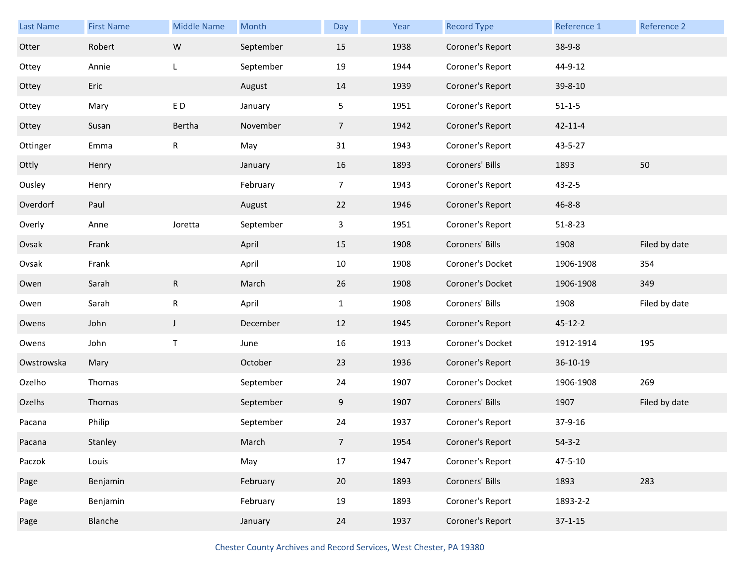| <b>Last Name</b> | <b>First Name</b> | <b>Middle Name</b> | Month     | Day             | Year | <b>Record Type</b> | Reference 1   | Reference 2   |
|------------------|-------------------|--------------------|-----------|-----------------|------|--------------------|---------------|---------------|
| Otter            | Robert            | W                  | September | 15              | 1938 | Coroner's Report   | $38-9-8$      |               |
| Ottey            | Annie             | L                  | September | 19              | 1944 | Coroner's Report   | 44-9-12       |               |
| Ottey            | Eric              |                    | August    | 14              | 1939 | Coroner's Report   | 39-8-10       |               |
| Ottey            | Mary              | ED.                | January   | 5               | 1951 | Coroner's Report   | $51 - 1 - 5$  |               |
| Ottey            | Susan             | Bertha             | November  | $7\overline{ }$ | 1942 | Coroner's Report   | $42 - 11 - 4$ |               |
| Ottinger         | Emma              | ${\sf R}$          | May       | 31              | 1943 | Coroner's Report   | 43-5-27       |               |
| Ottly            | Henry             |                    | January   | 16              | 1893 | Coroners' Bills    | 1893          | 50            |
| Ousley           | Henry             |                    | February  | 7               | 1943 | Coroner's Report   | $43 - 2 - 5$  |               |
| Overdorf         | Paul              |                    | August    | 22              | 1946 | Coroner's Report   | $46 - 8 - 8$  |               |
| Overly           | Anne              | Joretta            | September | 3               | 1951 | Coroner's Report   | $51 - 8 - 23$ |               |
| Ovsak            | Frank             |                    | April     | 15              | 1908 | Coroners' Bills    | 1908          | Filed by date |
| Ovsak            | Frank             |                    | April     | 10              | 1908 | Coroner's Docket   | 1906-1908     | 354           |
| Owen             | Sarah             | ${\sf R}$          | March     | 26              | 1908 | Coroner's Docket   | 1906-1908     | 349           |
| Owen             | Sarah             | ${\sf R}$          | April     | $\mathbf{1}$    | 1908 | Coroners' Bills    | 1908          | Filed by date |
| Owens            | John              | $\mathsf J$        | December  | 12              | 1945 | Coroner's Report   | $45 - 12 - 2$ |               |
| Owens            | John              | T                  | June      | 16              | 1913 | Coroner's Docket   | 1912-1914     | 195           |
| Owstrowska       | Mary              |                    | October   | 23              | 1936 | Coroner's Report   | 36-10-19      |               |
| Ozelho           | Thomas            |                    | September | 24              | 1907 | Coroner's Docket   | 1906-1908     | 269           |
| Ozelhs           | Thomas            |                    | September | 9               | 1907 | Coroners' Bills    | 1907          | Filed by date |
| Pacana           | Philip            |                    | September | 24              | 1937 | Coroner's Report   | 37-9-16       |               |
| Pacana           | Stanley           |                    | March     | $\overline{7}$  | 1954 | Coroner's Report   | $54 - 3 - 2$  |               |
| Paczok           | Louis             |                    | May       | 17              | 1947 | Coroner's Report   | $47 - 5 - 10$ |               |
| Page             | Benjamin          |                    | February  | 20              | 1893 | Coroners' Bills    | 1893          | 283           |
| Page             | Benjamin          |                    | February  | 19              | 1893 | Coroner's Report   | 1893-2-2      |               |
| Page             | Blanche           |                    | January   | 24              | 1937 | Coroner's Report   | $37 - 1 - 15$ |               |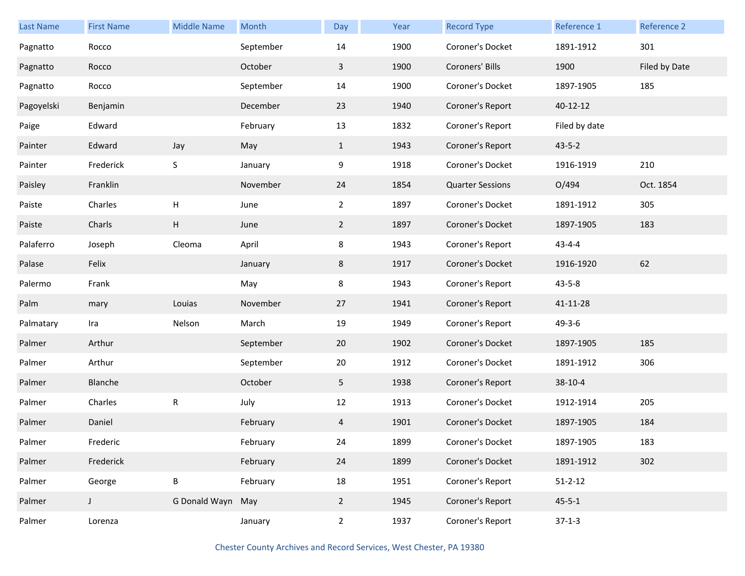| <b>Last Name</b> | <b>First Name</b> | <b>Middle Name</b>        | Month     | Day            | Year | <b>Record Type</b>      | Reference 1   | Reference 2   |
|------------------|-------------------|---------------------------|-----------|----------------|------|-------------------------|---------------|---------------|
| Pagnatto         | Rocco             |                           | September | 14             | 1900 | Coroner's Docket        | 1891-1912     | 301           |
| Pagnatto         | Rocco             |                           | October   | 3              | 1900 | Coroners' Bills         | 1900          | Filed by Date |
| Pagnatto         | Rocco             |                           | September | 14             | 1900 | Coroner's Docket        | 1897-1905     | 185           |
| Pagoyelski       | Benjamin          |                           | December  | 23             | 1940 | Coroner's Report        | 40-12-12      |               |
| Paige            | Edward            |                           | February  | 13             | 1832 | Coroner's Report        | Filed by date |               |
| Painter          | Edward            | Jay                       | May       | $\mathbf{1}$   | 1943 | Coroner's Report        | $43 - 5 - 2$  |               |
| Painter          | Frederick         | $\sf S$                   | January   | 9              | 1918 | Coroner's Docket        | 1916-1919     | 210           |
| Paisley          | Franklin          |                           | November  | 24             | 1854 | <b>Quarter Sessions</b> | O/494         | Oct. 1854     |
| Paiste           | Charles           | $\boldsymbol{\mathsf{H}}$ | June      | $\overline{2}$ | 1897 | Coroner's Docket        | 1891-1912     | 305           |
| Paiste           | Charls            | H                         | June      | $\overline{2}$ | 1897 | Coroner's Docket        | 1897-1905     | 183           |
| Palaferro        | Joseph            | Cleoma                    | April     | 8              | 1943 | Coroner's Report        | $43 - 4 - 4$  |               |
| Palase           | Felix             |                           | January   | 8              | 1917 | Coroner's Docket        | 1916-1920     | 62            |
| Palermo          | Frank             |                           | May       | 8              | 1943 | Coroner's Report        | $43 - 5 - 8$  |               |
| Palm             | mary              | Louias                    | November  | 27             | 1941 | Coroner's Report        | 41-11-28      |               |
| Palmatary        | Ira               | Nelson                    | March     | 19             | 1949 | Coroner's Report        | $49 - 3 - 6$  |               |
| Palmer           | Arthur            |                           | September | 20             | 1902 | Coroner's Docket        | 1897-1905     | 185           |
| Palmer           | Arthur            |                           | September | 20             | 1912 | Coroner's Docket        | 1891-1912     | 306           |
| Palmer           | Blanche           |                           | October   | 5              | 1938 | Coroner's Report        | 38-10-4       |               |
| Palmer           | Charles           | ${\sf R}$                 | July      | 12             | 1913 | Coroner's Docket        | 1912-1914     | 205           |
| Palmer           | Daniel            |                           | February  | 4              | 1901 | Coroner's Docket        | 1897-1905     | 184           |
| Palmer           | Frederic          |                           | February  | 24             | 1899 | Coroner's Docket        | 1897-1905     | 183           |
| Palmer           | Frederick         |                           | February  | 24             | 1899 | Coroner's Docket        | 1891-1912     | 302           |
| Palmer           | George            | B                         | February  | 18             | 1951 | Coroner's Report        | $51 - 2 - 12$ |               |
| Palmer           | J                 | G Donald Wayn May         |           | $\overline{2}$ | 1945 | Coroner's Report        | $45 - 5 - 1$  |               |
| Palmer           | Lorenza           |                           | January   | $\overline{2}$ | 1937 | Coroner's Report        | $37-1-3$      |               |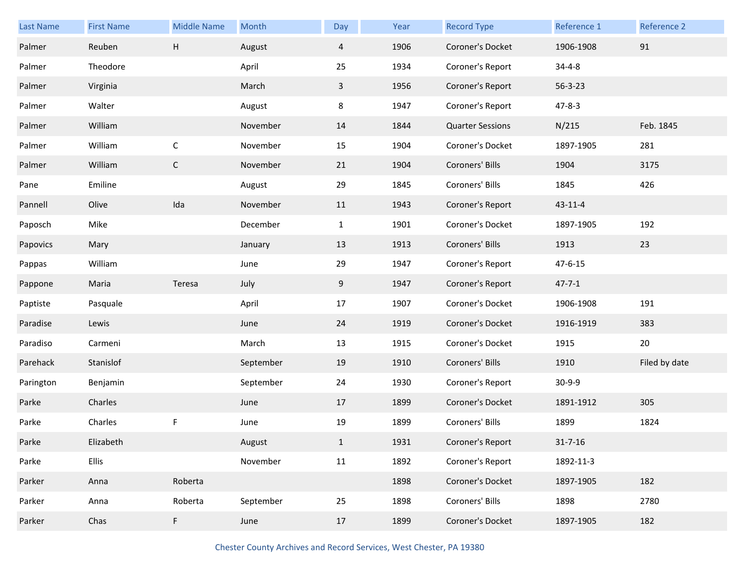| <b>Last Name</b> | <b>First Name</b> | <b>Middle Name</b>        | Month     | Day            | Year | <b>Record Type</b>      | Reference 1   | Reference 2   |
|------------------|-------------------|---------------------------|-----------|----------------|------|-------------------------|---------------|---------------|
| Palmer           | Reuben            | $\boldsymbol{\mathsf{H}}$ | August    | $\overline{a}$ | 1906 | Coroner's Docket        | 1906-1908     | 91            |
| Palmer           | Theodore          |                           | April     | 25             | 1934 | Coroner's Report        | $34 - 4 - 8$  |               |
| Palmer           | Virginia          |                           | March     | $\mathbf{3}$   | 1956 | Coroner's Report        | $56 - 3 - 23$ |               |
| Palmer           | Walter            |                           | August    | 8              | 1947 | Coroner's Report        | $47 - 8 - 3$  |               |
| Palmer           | William           |                           | November  | 14             | 1844 | <b>Quarter Sessions</b> | N/215         | Feb. 1845     |
| Palmer           | William           | $\mathsf{C}$              | November  | 15             | 1904 | Coroner's Docket        | 1897-1905     | 281           |
| Palmer           | William           | $\mathsf C$               | November  | 21             | 1904 | Coroners' Bills         | 1904          | 3175          |
| Pane             | Emiline           |                           | August    | 29             | 1845 | Coroners' Bills         | 1845          | 426           |
| Pannell          | Olive             | Ida                       | November  | 11             | 1943 | Coroner's Report        | 43-11-4       |               |
| Paposch          | Mike              |                           | December  | $\mathbf{1}$   | 1901 | Coroner's Docket        | 1897-1905     | 192           |
| Papovics         | Mary              |                           | January   | 13             | 1913 | Coroners' Bills         | 1913          | 23            |
| Pappas           | William           |                           | June      | 29             | 1947 | Coroner's Report        | 47-6-15       |               |
| Pappone          | Maria             | Teresa                    | July      | 9              | 1947 | Coroner's Report        | $47 - 7 - 1$  |               |
| Paptiste         | Pasquale          |                           | April     | 17             | 1907 | Coroner's Docket        | 1906-1908     | 191           |
| Paradise         | Lewis             |                           | June      | 24             | 1919 | Coroner's Docket        | 1916-1919     | 383           |
| Paradiso         | Carmeni           |                           | March     | 13             | 1915 | Coroner's Docket        | 1915          | 20            |
| Parehack         | Stanislof         |                           | September | 19             | 1910 | Coroners' Bills         | 1910          | Filed by date |
| Parington        | Benjamin          |                           | September | 24             | 1930 | Coroner's Report        | $30-9-9$      |               |
| Parke            | Charles           |                           | June      | 17             | 1899 | Coroner's Docket        | 1891-1912     | 305           |
| Parke            | Charles           | F                         | June      | 19             | 1899 | Coroners' Bills         | 1899          | 1824          |
| Parke            | Elizabeth         |                           | August    | $\mathbf{1}$   | 1931 | Coroner's Report        | $31 - 7 - 16$ |               |
| Parke            | Ellis             |                           | November  | 11             | 1892 | Coroner's Report        | 1892-11-3     |               |
| Parker           | Anna              | Roberta                   |           |                | 1898 | Coroner's Docket        | 1897-1905     | 182           |
| Parker           | Anna              | Roberta                   | September | 25             | 1898 | Coroners' Bills         | 1898          | 2780          |
| Parker           | Chas              | F                         | June      | 17             | 1899 | Coroner's Docket        | 1897-1905     | 182           |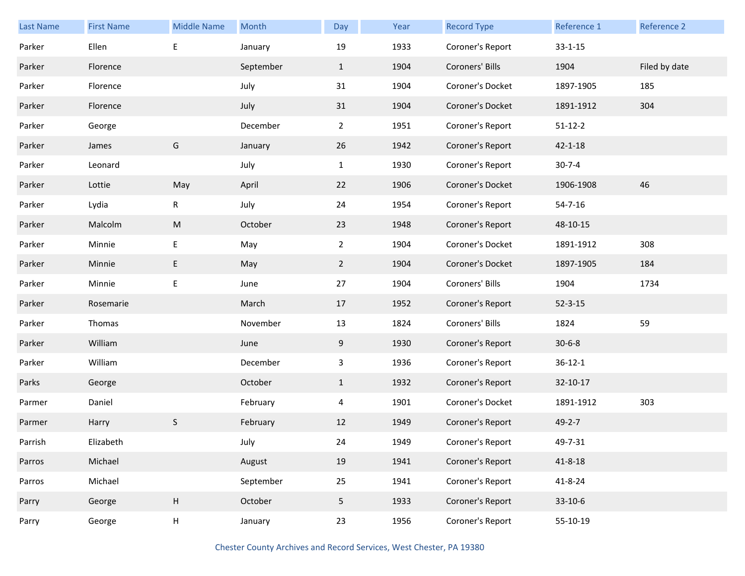| Last Name | <b>First Name</b> | <b>Middle Name</b> | Month     | Day            | Year | <b>Record Type</b> | Reference 1   | Reference 2   |
|-----------|-------------------|--------------------|-----------|----------------|------|--------------------|---------------|---------------|
| Parker    | Ellen             | E                  | January   | 19             | 1933 | Coroner's Report   | $33 - 1 - 15$ |               |
| Parker    | Florence          |                    | September | $\mathbf{1}$   | 1904 | Coroners' Bills    | 1904          | Filed by date |
| Parker    | Florence          |                    | July      | 31             | 1904 | Coroner's Docket   | 1897-1905     | 185           |
| Parker    | Florence          |                    | July      | 31             | 1904 | Coroner's Docket   | 1891-1912     | 304           |
| Parker    | George            |                    | December  | $\overline{2}$ | 1951 | Coroner's Report   | $51 - 12 - 2$ |               |
| Parker    | James             | G                  | January   | 26             | 1942 | Coroner's Report   | $42 - 1 - 18$ |               |
| Parker    | Leonard           |                    | July      | $\mathbf{1}$   | 1930 | Coroner's Report   | $30 - 7 - 4$  |               |
| Parker    | Lottie            | May                | April     | 22             | 1906 | Coroner's Docket   | 1906-1908     | 46            |
| Parker    | Lydia             | R                  | July      | 24             | 1954 | Coroner's Report   | $54 - 7 - 16$ |               |
| Parker    | Malcolm           | ${\sf M}$          | October   | 23             | 1948 | Coroner's Report   | 48-10-15      |               |
| Parker    | Minnie            | E                  | May       | $\overline{2}$ | 1904 | Coroner's Docket   | 1891-1912     | 308           |
| Parker    | Minnie            | E                  | May       | $\overline{2}$ | 1904 | Coroner's Docket   | 1897-1905     | 184           |
| Parker    | Minnie            | E                  | June      | 27             | 1904 | Coroners' Bills    | 1904          | 1734          |
| Parker    | Rosemarie         |                    | March     | 17             | 1952 | Coroner's Report   | $52 - 3 - 15$ |               |
| Parker    | Thomas            |                    | November  | 13             | 1824 | Coroners' Bills    | 1824          | 59            |
| Parker    | William           |                    | June      | 9              | 1930 | Coroner's Report   | $30 - 6 - 8$  |               |
| Parker    | William           |                    | December  | $\mathbf{3}$   | 1936 | Coroner's Report   | $36 - 12 - 1$ |               |
| Parks     | George            |                    | October   | $\mathbf{1}$   | 1932 | Coroner's Report   | 32-10-17      |               |
| Parmer    | Daniel            |                    | February  | 4              | 1901 | Coroner's Docket   | 1891-1912     | 303           |
| Parmer    | Harry             | S                  | February  | 12             | 1949 | Coroner's Report   | $49 - 2 - 7$  |               |
| Parrish   | Elizabeth         |                    | July      | 24             | 1949 | Coroner's Report   | 49-7-31       |               |
| Parros    | Michael           |                    | August    | 19             | 1941 | Coroner's Report   | $41 - 8 - 18$ |               |
| Parros    | Michael           |                    | September | 25             | 1941 | Coroner's Report   | $41 - 8 - 24$ |               |
| Parry     | George            | H                  | October   | 5 <sub>1</sub> | 1933 | Coroner's Report   | 33-10-6       |               |
| Parry     | George            | H                  | January   | 23             | 1956 | Coroner's Report   | 55-10-19      |               |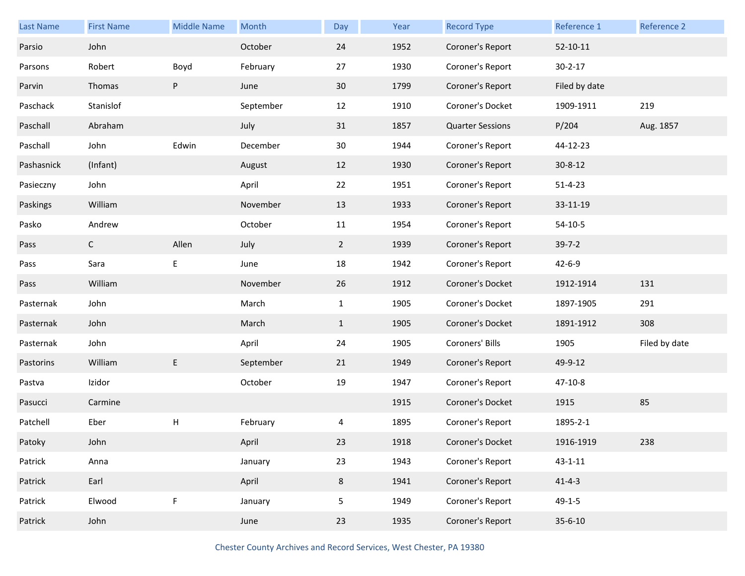| <b>Last Name</b> | <b>First Name</b> | <b>Middle Name</b> | Month     | Day            | Year | <b>Record Type</b>      | Reference 1    | Reference 2   |
|------------------|-------------------|--------------------|-----------|----------------|------|-------------------------|----------------|---------------|
| Parsio           | John              |                    | October   | 24             | 1952 | Coroner's Report        | $52 - 10 - 11$ |               |
| Parsons          | Robert            | Boyd               | February  | 27             | 1930 | Coroner's Report        | $30 - 2 - 17$  |               |
| Parvin           | Thomas            | P                  | June      | 30             | 1799 | Coroner's Report        | Filed by date  |               |
| Paschack         | Stanislof         |                    | September | 12             | 1910 | Coroner's Docket        | 1909-1911      | 219           |
| Paschall         | Abraham           |                    | July      | 31             | 1857 | <b>Quarter Sessions</b> | P/204          | Aug. 1857     |
| Paschall         | John              | Edwin              | December  | 30             | 1944 | Coroner's Report        | 44-12-23       |               |
| Pashasnick       | (Infant)          |                    | August    | 12             | 1930 | Coroner's Report        | $30 - 8 - 12$  |               |
| Pasieczny        | John              |                    | April     | 22             | 1951 | Coroner's Report        | $51 - 4 - 23$  |               |
| Paskings         | William           |                    | November  | 13             | 1933 | Coroner's Report        | 33-11-19       |               |
| Pasko            | Andrew            |                    | October   | 11             | 1954 | Coroner's Report        | $54-10-5$      |               |
| Pass             | $\mathsf{C}$      | Allen              | July      | $\overline{2}$ | 1939 | Coroner's Report        | $39 - 7 - 2$   |               |
| Pass             | Sara              | E                  | June      | 18             | 1942 | Coroner's Report        | $42 - 6 - 9$   |               |
| Pass             | William           |                    | November  | 26             | 1912 | Coroner's Docket        | 1912-1914      | 131           |
| Pasternak        | John              |                    | March     | $\mathbf{1}$   | 1905 | Coroner's Docket        | 1897-1905      | 291           |
| Pasternak        | John              |                    | March     | $\mathbf{1}$   | 1905 | Coroner's Docket        | 1891-1912      | 308           |
| Pasternak        | John              |                    | April     | 24             | 1905 | Coroners' Bills         | 1905           | Filed by date |
| Pastorins        | William           | $\sf E$            | September | 21             | 1949 | Coroner's Report        | 49-9-12        |               |
| Pastva           | Izidor            |                    | October   | 19             | 1947 | Coroner's Report        | 47-10-8        |               |
| Pasucci          | Carmine           |                    |           |                | 1915 | Coroner's Docket        | 1915           | 85            |
| Patchell         | Eber              | H                  | February  | 4              | 1895 | Coroner's Report        | 1895-2-1       |               |
| Patoky           | John              |                    | April     | 23             | 1918 | Coroner's Docket        | 1916-1919      | 238           |
| Patrick          | Anna              |                    | January   | 23             | 1943 | Coroner's Report        | $43 - 1 - 11$  |               |
| Patrick          | Earl              |                    | April     | 8              | 1941 | Coroner's Report        | $41 - 4 - 3$   |               |
| Patrick          | Elwood            | F                  | January   | 5              | 1949 | Coroner's Report        | $49 - 1 - 5$   |               |
| Patrick          | John              |                    | June      | 23             | 1935 | Coroner's Report        | $35 - 6 - 10$  |               |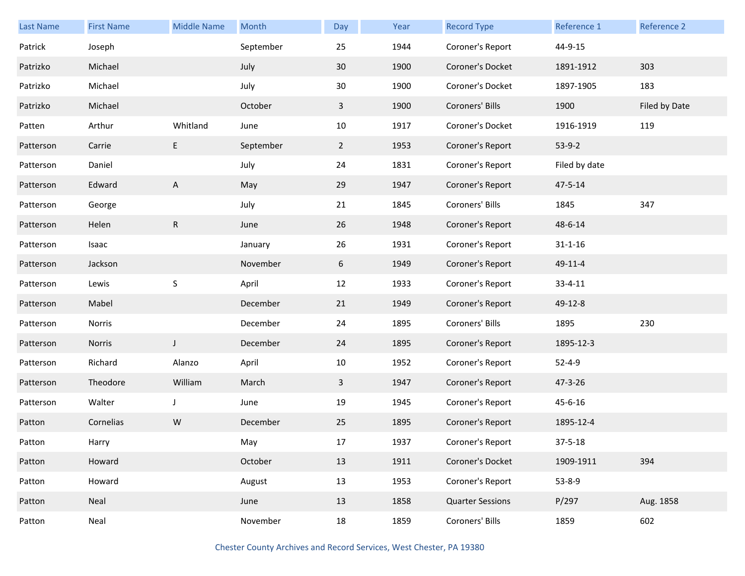| Last Name | <b>First Name</b> | <b>Middle Name</b> | Month     | Day            | Year | <b>Record Type</b>      | Reference 1   | Reference 2   |
|-----------|-------------------|--------------------|-----------|----------------|------|-------------------------|---------------|---------------|
| Patrick   | Joseph            |                    | September | 25             | 1944 | Coroner's Report        | 44-9-15       |               |
| Patrizko  | Michael           |                    | July      | 30             | 1900 | Coroner's Docket        | 1891-1912     | 303           |
| Patrizko  | Michael           |                    | July      | 30             | 1900 | Coroner's Docket        | 1897-1905     | 183           |
| Patrizko  | Michael           |                    | October   | $\mathbf{3}$   | 1900 | Coroners' Bills         | 1900          | Filed by Date |
| Patten    | Arthur            | Whitland           | June      | 10             | 1917 | Coroner's Docket        | 1916-1919     | 119           |
| Patterson | Carrie            | E                  | September | $\overline{2}$ | 1953 | Coroner's Report        | $53-9-2$      |               |
| Patterson | Daniel            |                    | July      | 24             | 1831 | Coroner's Report        | Filed by date |               |
| Patterson | Edward            | A                  | May       | 29             | 1947 | Coroner's Report        | 47-5-14       |               |
| Patterson | George            |                    | July      | 21             | 1845 | Coroners' Bills         | 1845          | 347           |
| Patterson | Helen             | ${\sf R}$          | June      | 26             | 1948 | Coroner's Report        | 48-6-14       |               |
| Patterson | Isaac             |                    | January   | 26             | 1931 | Coroner's Report        | $31 - 1 - 16$ |               |
| Patterson | Jackson           |                    | November  | 6              | 1949 | Coroner's Report        | 49-11-4       |               |
| Patterson | Lewis             | $\sf S$            | April     | 12             | 1933 | Coroner's Report        | $33 - 4 - 11$ |               |
| Patterson | Mabel             |                    | December  | 21             | 1949 | Coroner's Report        | 49-12-8       |               |
| Patterson | Norris            |                    | December  | 24             | 1895 | Coroners' Bills         | 1895          | 230           |
| Patterson | Norris            | J                  | December  | 24             | 1895 | Coroner's Report        | 1895-12-3     |               |
| Patterson | Richard           | Alanzo             | April     | 10             | 1952 | Coroner's Report        | $52 - 4 - 9$  |               |
| Patterson | Theodore          | William            | March     | $\mathbf{3}$   | 1947 | Coroner's Report        | 47-3-26       |               |
| Patterson | Walter            | $\mathsf{J}$       | June      | 19             | 1945 | Coroner's Report        | 45-6-16       |               |
| Patton    | Cornelias         | W                  | December  | 25             | 1895 | Coroner's Report        | 1895-12-4     |               |
| Patton    | Harry             |                    | May       | $17\,$         | 1937 | Coroner's Report        | $37 - 5 - 18$ |               |
| Patton    | Howard            |                    | October   | 13             | 1911 | Coroner's Docket        | 1909-1911     | 394           |
| Patton    | Howard            |                    | August    | 13             | 1953 | Coroner's Report        | $53 - 8 - 9$  |               |
| Patton    | Neal              |                    | June      | 13             | 1858 | <b>Quarter Sessions</b> | P/297         | Aug. 1858     |
| Patton    | Neal              |                    | November  | 18             | 1859 | Coroners' Bills         | 1859          | 602           |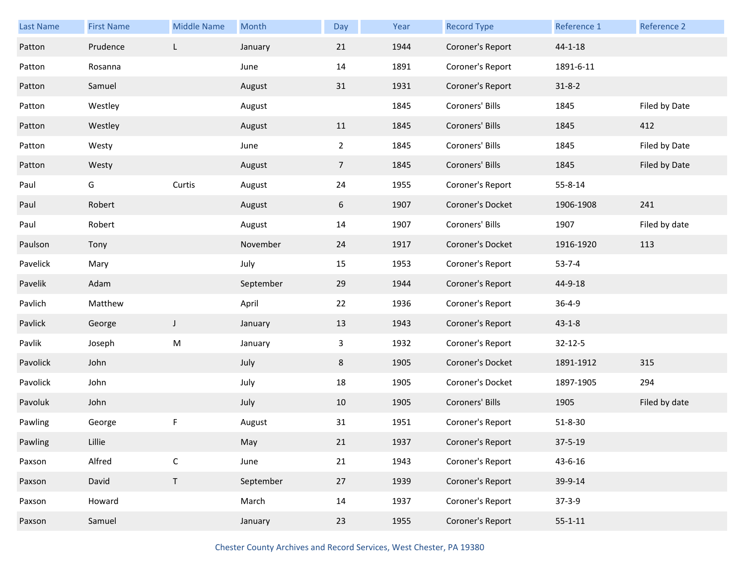| Last Name | <b>First Name</b> | <b>Middle Name</b> | Month     | Day             | Year | <b>Record Type</b> | Reference 1   | Reference 2   |
|-----------|-------------------|--------------------|-----------|-----------------|------|--------------------|---------------|---------------|
| Patton    | Prudence          | L                  | January   | 21              | 1944 | Coroner's Report   | $44 - 1 - 18$ |               |
| Patton    | Rosanna           |                    | June      | 14              | 1891 | Coroner's Report   | 1891-6-11     |               |
| Patton    | Samuel            |                    | August    | 31              | 1931 | Coroner's Report   | $31 - 8 - 2$  |               |
| Patton    | Westley           |                    | August    |                 | 1845 | Coroners' Bills    | 1845          | Filed by Date |
| Patton    | Westley           |                    | August    | 11              | 1845 | Coroners' Bills    | 1845          | 412           |
| Patton    | Westy             |                    | June      | $\overline{2}$  | 1845 | Coroners' Bills    | 1845          | Filed by Date |
| Patton    | Westy             |                    | August    | $7\overline{ }$ | 1845 | Coroners' Bills    | 1845          | Filed by Date |
| Paul      | G                 | Curtis             | August    | 24              | 1955 | Coroner's Report   | 55-8-14       |               |
| Paul      | Robert            |                    | August    | 6               | 1907 | Coroner's Docket   | 1906-1908     | 241           |
| Paul      | Robert            |                    | August    | 14              | 1907 | Coroners' Bills    | 1907          | Filed by date |
| Paulson   | Tony              |                    | November  | 24              | 1917 | Coroner's Docket   | 1916-1920     | 113           |
| Pavelick  | Mary              |                    | July      | 15              | 1953 | Coroner's Report   | $53 - 7 - 4$  |               |
| Pavelik   | Adam              |                    | September | 29              | 1944 | Coroner's Report   | 44-9-18       |               |
| Pavlich   | Matthew           |                    | April     | 22              | 1936 | Coroner's Report   | $36 - 4 - 9$  |               |
| Pavlick   | George            | $\mathsf J$        | January   | 13              | 1943 | Coroner's Report   | $43 - 1 - 8$  |               |
| Pavlik    | Joseph            | M                  | January   | 3               | 1932 | Coroner's Report   | $32 - 12 - 5$ |               |
| Pavolick  | John              |                    | July      | 8               | 1905 | Coroner's Docket   | 1891-1912     | 315           |
| Pavolick  | John              |                    | July      | 18              | 1905 | Coroner's Docket   | 1897-1905     | 294           |
| Pavoluk   | John              |                    | July      | 10              | 1905 | Coroners' Bills    | 1905          | Filed by date |
| Pawling   | George            | F                  | August    | 31              | 1951 | Coroner's Report   | $51 - 8 - 30$ |               |
| Pawling   | Lillie            |                    | May       | 21              | 1937 | Coroner's Report   | $37 - 5 - 19$ |               |
| Paxson    | Alfred            | $\mathsf C$        | June      | 21              | 1943 | Coroner's Report   | 43-6-16       |               |
| Paxson    | David             | $\mathsf T$        | September | 27              | 1939 | Coroner's Report   | 39-9-14       |               |
| Paxson    | Howard            |                    | March     | 14              | 1937 | Coroner's Report   | $37-3-9$      |               |
| Paxson    | Samuel            |                    | January   | 23              | 1955 | Coroner's Report   | $55 - 1 - 11$ |               |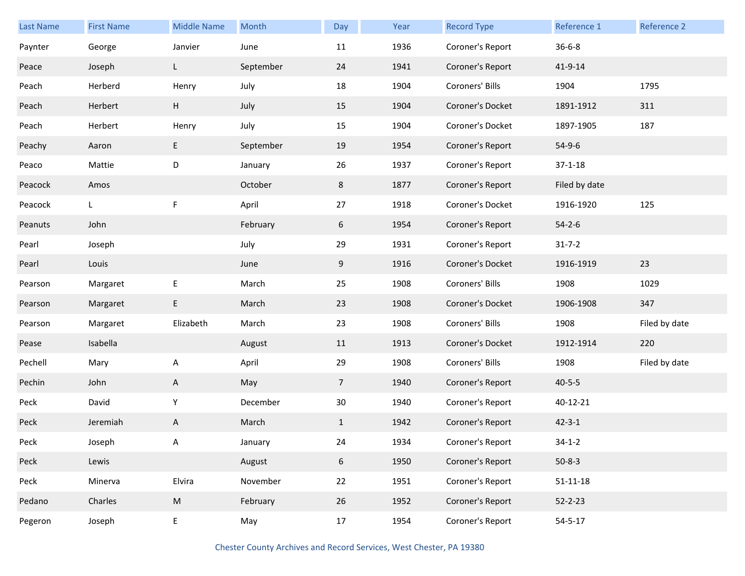| <b>Last Name</b> | <b>First Name</b> | <b>Middle Name</b> | Month     | Day            | Year | <b>Record Type</b> | Reference 1    | Reference 2   |
|------------------|-------------------|--------------------|-----------|----------------|------|--------------------|----------------|---------------|
| Paynter          | George            | Janvier            | June      | 11             | 1936 | Coroner's Report   | $36 - 6 - 8$   |               |
| Peace            | Joseph            | L                  | September | 24             | 1941 | Coroner's Report   | 41-9-14        |               |
| Peach            | Herberd           | Henry              | July      | 18             | 1904 | Coroners' Bills    | 1904           | 1795          |
| Peach            | Herbert           | H                  | July      | 15             | 1904 | Coroner's Docket   | 1891-1912      | 311           |
| Peach            | Herbert           | Henry              | July      | 15             | 1904 | Coroner's Docket   | 1897-1905      | 187           |
| Peachy           | Aaron             | E                  | September | 19             | 1954 | Coroner's Report   | $54-9-6$       |               |
| Peaco            | Mattie            | D                  | January   | 26             | 1937 | Coroner's Report   | $37 - 1 - 18$  |               |
| Peacock          | Amos              |                    | October   | 8              | 1877 | Coroner's Report   | Filed by date  |               |
| Peacock          | L                 | F                  | April     | 27             | 1918 | Coroner's Docket   | 1916-1920      | 125           |
| Peanuts          | John              |                    | February  | 6              | 1954 | Coroner's Report   | $54 - 2 - 6$   |               |
| Pearl            | Joseph            |                    | July      | 29             | 1931 | Coroner's Report   | $31 - 7 - 2$   |               |
| Pearl            | Louis             |                    | June      | 9              | 1916 | Coroner's Docket   | 1916-1919      | 23            |
| Pearson          | Margaret          | E                  | March     | 25             | 1908 | Coroners' Bills    | 1908           | 1029          |
| Pearson          | Margaret          | E                  | March     | 23             | 1908 | Coroner's Docket   | 1906-1908      | 347           |
| Pearson          | Margaret          | Elizabeth          | March     | 23             | 1908 | Coroners' Bills    | 1908           | Filed by date |
| Pease            | Isabella          |                    | August    | 11             | 1913 | Coroner's Docket   | 1912-1914      | 220           |
| Pechell          | Mary              | A                  | April     | 29             | 1908 | Coroners' Bills    | 1908           | Filed by date |
| Pechin           | John              | A                  | May       | 7 <sup>1</sup> | 1940 | Coroner's Report   | $40 - 5 - 5$   |               |
| Peck             | David             | Y                  | December  | 30             | 1940 | Coroner's Report   | 40-12-21       |               |
| Peck             | Jeremiah          | A                  | March     | $\mathbf{1}$   | 1942 | Coroner's Report   | $42 - 3 - 1$   |               |
| Peck             | Joseph            | А                  | January   | 24             | 1934 | Coroner's Report   | $34 - 1 - 2$   |               |
| Peck             | Lewis             |                    | August    | $6\,$          | 1950 | Coroner's Report   | $50 - 8 - 3$   |               |
| Peck             | Minerva           | Elvira             | November  | 22             | 1951 | Coroner's Report   | $51 - 11 - 18$ |               |
| Pedano           | Charles           | ${\sf M}$          | February  | 26             | 1952 | Coroner's Report   | $52 - 2 - 23$  |               |
| Pegeron          | Joseph            | E                  | May       | 17             | 1954 | Coroner's Report   | $54 - 5 - 17$  |               |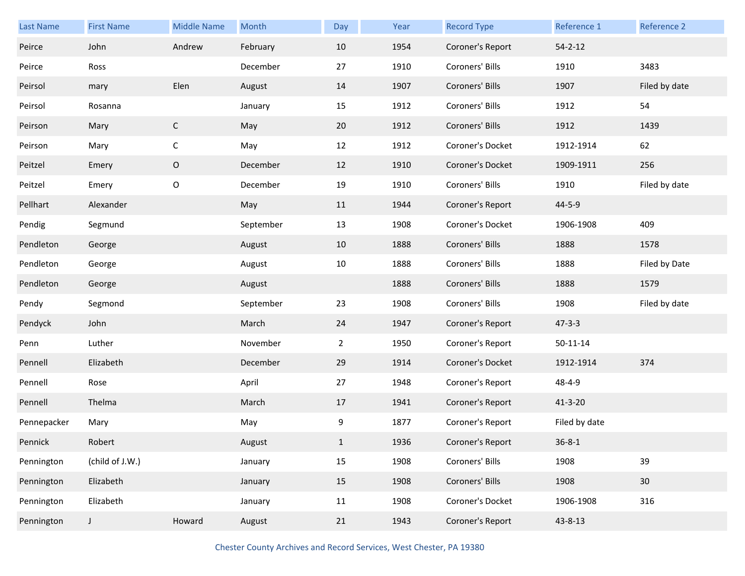| <b>Last Name</b> | <b>First Name</b> | <b>Middle Name</b> | Month     | Day            | Year | <b>Record Type</b> | Reference 1    | Reference 2   |
|------------------|-------------------|--------------------|-----------|----------------|------|--------------------|----------------|---------------|
| Peirce           | John              | Andrew             | February  | 10             | 1954 | Coroner's Report   | $54 - 2 - 12$  |               |
| Peirce           | Ross              |                    | December  | 27             | 1910 | Coroners' Bills    | 1910           | 3483          |
| Peirsol          | mary              | Elen               | August    | 14             | 1907 | Coroners' Bills    | 1907           | Filed by date |
| Peirsol          | Rosanna           |                    | January   | 15             | 1912 | Coroners' Bills    | 1912           | 54            |
| Peirson          | Mary              | $\mathsf C$        | May       | 20             | 1912 | Coroners' Bills    | 1912           | 1439          |
| Peirson          | Mary              | $\mathsf C$        | May       | 12             | 1912 | Coroner's Docket   | 1912-1914      | 62            |
| Peitzel          | Emery             | 0                  | December  | 12             | 1910 | Coroner's Docket   | 1909-1911      | 256           |
| Peitzel          | Emery             | O                  | December  | 19             | 1910 | Coroners' Bills    | 1910           | Filed by date |
| Pellhart         | Alexander         |                    | May       | 11             | 1944 | Coroner's Report   | 44-5-9         |               |
| Pendig           | Segmund           |                    | September | 13             | 1908 | Coroner's Docket   | 1906-1908      | 409           |
| Pendleton        | George            |                    | August    | 10             | 1888 | Coroners' Bills    | 1888           | 1578          |
| Pendleton        | George            |                    | August    | 10             | 1888 | Coroners' Bills    | 1888           | Filed by Date |
| Pendleton        | George            |                    | August    |                | 1888 | Coroners' Bills    | 1888           | 1579          |
| Pendy            | Segmond           |                    | September | 23             | 1908 | Coroners' Bills    | 1908           | Filed by date |
| Pendyck          | John              |                    | March     | 24             | 1947 | Coroner's Report   | $47 - 3 - 3$   |               |
| Penn             | Luther            |                    | November  | $\overline{2}$ | 1950 | Coroner's Report   | $50 - 11 - 14$ |               |
| Pennell          | Elizabeth         |                    | December  | 29             | 1914 | Coroner's Docket   | 1912-1914      | 374           |
| Pennell          | Rose              |                    | April     | 27             | 1948 | Coroner's Report   | 48-4-9         |               |
| Pennell          | Thelma            |                    | March     | 17             | 1941 | Coroner's Report   | $41 - 3 - 20$  |               |
| Pennepacker      | Mary              |                    | May       | 9              | 1877 | Coroner's Report   | Filed by date  |               |
| Pennick          | Robert            |                    | August    | $\mathbf{1}$   | 1936 | Coroner's Report   | $36 - 8 - 1$   |               |
| Pennington       | (child of J.W.)   |                    | January   | 15             | 1908 | Coroners' Bills    | 1908           | 39            |
| Pennington       | Elizabeth         |                    | January   | 15             | 1908 | Coroners' Bills    | 1908           | 30            |
| Pennington       | Elizabeth         |                    | January   | 11             | 1908 | Coroner's Docket   | 1906-1908      | 316           |
| Pennington       | J                 | Howard             | August    | 21             | 1943 | Coroner's Report   | 43-8-13        |               |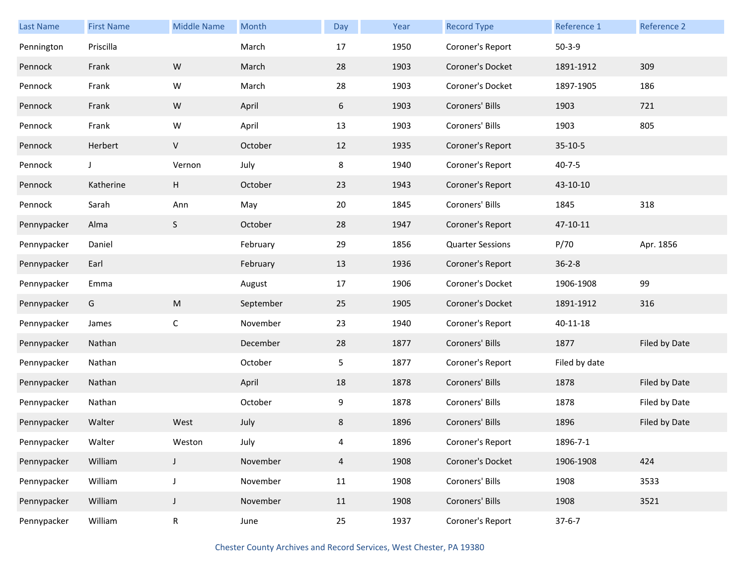| <b>Last Name</b> | <b>First Name</b> | <b>Middle Name</b> | Month     | Day            | Year | <b>Record Type</b>      | Reference 1   | Reference 2   |
|------------------|-------------------|--------------------|-----------|----------------|------|-------------------------|---------------|---------------|
| Pennington       | Priscilla         |                    | March     | 17             | 1950 | Coroner's Report        | $50-3-9$      |               |
| Pennock          | Frank             | ${\sf W}$          | March     | 28             | 1903 | Coroner's Docket        | 1891-1912     | 309           |
| Pennock          | Frank             | W                  | March     | 28             | 1903 | Coroner's Docket        | 1897-1905     | 186           |
| Pennock          | Frank             | ${\sf W}$          | April     | 6              | 1903 | Coroners' Bills         | 1903          | 721           |
| Pennock          | Frank             | ${\sf W}$          | April     | 13             | 1903 | Coroners' Bills         | 1903          | 805           |
| Pennock          | Herbert           | V                  | October   | 12             | 1935 | Coroner's Report        | $35-10-5$     |               |
| Pennock          | J                 | Vernon             | July      | 8              | 1940 | Coroner's Report        | $40 - 7 - 5$  |               |
| Pennock          | Katherine         | $\mathsf H$        | October   | 23             | 1943 | Coroner's Report        | 43-10-10      |               |
| Pennock          | Sarah             | Ann                | May       | 20             | 1845 | Coroners' Bills         | 1845          | 318           |
| Pennypacker      | Alma              | S                  | October   | 28             | 1947 | Coroner's Report        | 47-10-11      |               |
| Pennypacker      | Daniel            |                    | February  | 29             | 1856 | <b>Quarter Sessions</b> | P/70          | Apr. 1856     |
| Pennypacker      | Earl              |                    | February  | 13             | 1936 | Coroner's Report        | $36 - 2 - 8$  |               |
| Pennypacker      | Emma              |                    | August    | 17             | 1906 | Coroner's Docket        | 1906-1908     | 99            |
| Pennypacker      | G                 | ${\sf M}$          | September | 25             | 1905 | Coroner's Docket        | 1891-1912     | 316           |
| Pennypacker      | James             | $\mathsf C$        | November  | 23             | 1940 | Coroner's Report        | 40-11-18      |               |
| Pennypacker      | Nathan            |                    | December  | 28             | 1877 | Coroners' Bills         | 1877          | Filed by Date |
| Pennypacker      | Nathan            |                    | October   | 5              | 1877 | Coroner's Report        | Filed by date |               |
| Pennypacker      | Nathan            |                    | April     | 18             | 1878 | Coroners' Bills         | 1878          | Filed by Date |
| Pennypacker      | Nathan            |                    | October   | 9              | 1878 | Coroners' Bills         | 1878          | Filed by Date |
| Pennypacker      | Walter            | West               | July      | 8              | 1896 | Coroners' Bills         | 1896          | Filed by Date |
| Pennypacker      | Walter            | Weston             | July      | 4              | 1896 | Coroner's Report        | 1896-7-1      |               |
| Pennypacker      | William           | J                  | November  | $\overline{4}$ | 1908 | Coroner's Docket        | 1906-1908     | 424           |
| Pennypacker      | William           | J                  | November  | 11             | 1908 | Coroners' Bills         | 1908          | 3533          |
| Pennypacker      | William           | J                  | November  | 11             | 1908 | Coroners' Bills         | 1908          | 3521          |
| Pennypacker      | William           | R                  | June      | 25             | 1937 | Coroner's Report        | $37 - 6 - 7$  |               |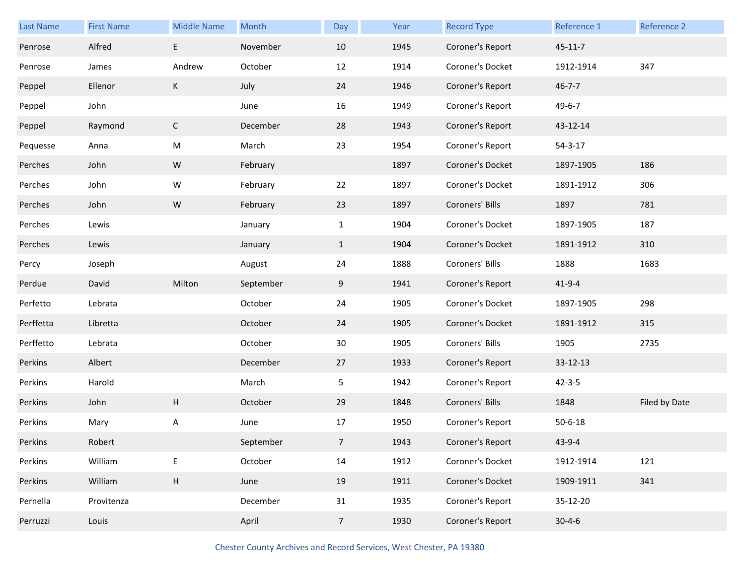| Last Name | <b>First Name</b> | <b>Middle Name</b> | Month     | Day            | Year | <b>Record Type</b> | Reference 1   | Reference 2   |
|-----------|-------------------|--------------------|-----------|----------------|------|--------------------|---------------|---------------|
| Penrose   | Alfred            | E                  | November  | 10             | 1945 | Coroner's Report   | $45 - 11 - 7$ |               |
| Penrose   | James             | Andrew             | October   | 12             | 1914 | Coroner's Docket   | 1912-1914     | 347           |
| Peppel    | Ellenor           | K                  | July      | 24             | 1946 | Coroner's Report   | $46 - 7 - 7$  |               |
| Peppel    | John              |                    | June      | 16             | 1949 | Coroner's Report   | $49 - 6 - 7$  |               |
| Peppel    | Raymond           | $\mathsf C$        | December  | 28             | 1943 | Coroner's Report   | 43-12-14      |               |
| Pequesse  | Anna              | M                  | March     | 23             | 1954 | Coroner's Report   | $54 - 3 - 17$ |               |
| Perches   | John              | ${\sf W}$          | February  |                | 1897 | Coroner's Docket   | 1897-1905     | 186           |
| Perches   | John              | W                  | February  | 22             | 1897 | Coroner's Docket   | 1891-1912     | 306           |
| Perches   | John              | ${\sf W}$          | February  | 23             | 1897 | Coroners' Bills    | 1897          | 781           |
| Perches   | Lewis             |                    | January   | $\mathbf{1}$   | 1904 | Coroner's Docket   | 1897-1905     | 187           |
| Perches   | Lewis             |                    | January   | $\mathbf{1}$   | 1904 | Coroner's Docket   | 1891-1912     | 310           |
| Percy     | Joseph            |                    | August    | 24             | 1888 | Coroners' Bills    | 1888          | 1683          |
| Perdue    | David             | Milton             | September | 9              | 1941 | Coroner's Report   | $41 - 9 - 4$  |               |
| Perfetto  | Lebrata           |                    | October   | 24             | 1905 | Coroner's Docket   | 1897-1905     | 298           |
| Perffetta | Libretta          |                    | October   | 24             | 1905 | Coroner's Docket   | 1891-1912     | 315           |
| Perffetto | Lebrata           |                    | October   | 30             | 1905 | Coroners' Bills    | 1905          | 2735          |
| Perkins   | Albert            |                    | December  | 27             | 1933 | Coroner's Report   | 33-12-13      |               |
| Perkins   | Harold            |                    | March     | 5              | 1942 | Coroner's Report   | $42 - 3 - 5$  |               |
| Perkins   | John              | Н                  | October   | 29             | 1848 | Coroners' Bills    | 1848          | Filed by Date |
| Perkins   | Mary              | A                  | June      | 17             | 1950 | Coroner's Report   | $50 - 6 - 18$ |               |
| Perkins   | Robert            |                    | September | $\overline{7}$ | 1943 | Coroner's Report   | $43 - 9 - 4$  |               |
| Perkins   | William           | E                  | October   | 14             | 1912 | Coroner's Docket   | 1912-1914     | 121           |
| Perkins   | William           | H                  | June      | 19             | 1911 | Coroner's Docket   | 1909-1911     | 341           |
| Pernella  | Provitenza        |                    | December  | 31             | 1935 | Coroner's Report   | 35-12-20      |               |
| Perruzzi  | Louis             |                    | April     | 7 <sup>7</sup> | 1930 | Coroner's Report   | $30 - 4 - 6$  |               |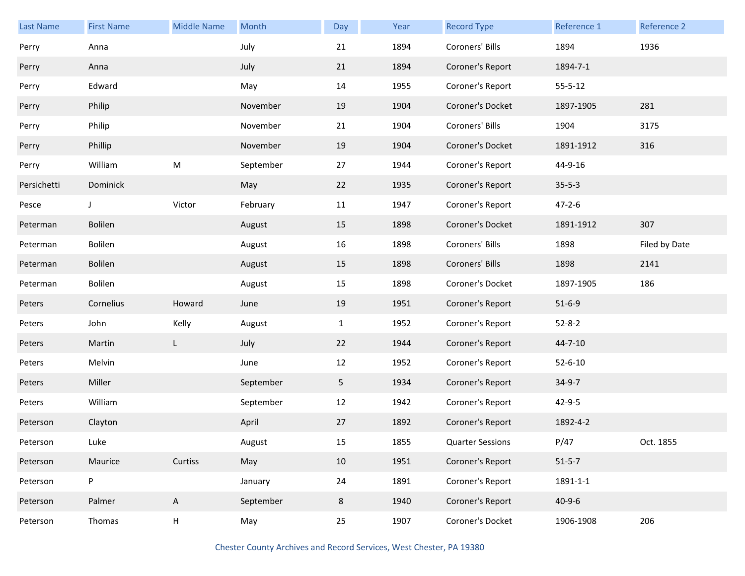| <b>Last Name</b> | <b>First Name</b> | <b>Middle Name</b> | Month     | Day          | Year | <b>Record Type</b>      | Reference 1   | Reference 2   |
|------------------|-------------------|--------------------|-----------|--------------|------|-------------------------|---------------|---------------|
| Perry            | Anna              |                    | July      | 21           | 1894 | Coroners' Bills         | 1894          | 1936          |
| Perry            | Anna              |                    | July      | 21           | 1894 | Coroner's Report        | 1894-7-1      |               |
| Perry            | Edward            |                    | May       | 14           | 1955 | Coroner's Report        | $55 - 5 - 12$ |               |
| Perry            | Philip            |                    | November  | 19           | 1904 | Coroner's Docket        | 1897-1905     | 281           |
| Perry            | Philip            |                    | November  | 21           | 1904 | Coroners' Bills         | 1904          | 3175          |
| Perry            | Phillip           |                    | November  | 19           | 1904 | Coroner's Docket        | 1891-1912     | 316           |
| Perry            | William           | ${\sf M}$          | September | 27           | 1944 | Coroner's Report        | 44-9-16       |               |
| Persichetti      | Dominick          |                    | May       | 22           | 1935 | Coroner's Report        | $35 - 5 - 3$  |               |
| Pesce            | J                 | Victor             | February  | 11           | 1947 | Coroner's Report        | $47 - 2 - 6$  |               |
| Peterman         | Bolilen           |                    | August    | 15           | 1898 | Coroner's Docket        | 1891-1912     | 307           |
| Peterman         | Bolilen           |                    | August    | 16           | 1898 | Coroners' Bills         | 1898          | Filed by Date |
| Peterman         | Bolilen           |                    | August    | 15           | 1898 | Coroners' Bills         | 1898          | 2141          |
| Peterman         | Bolilen           |                    | August    | 15           | 1898 | Coroner's Docket        | 1897-1905     | 186           |
| Peters           | Cornelius         | Howard             | June      | 19           | 1951 | Coroner's Report        | $51 - 6 - 9$  |               |
| Peters           | John              | Kelly              | August    | $\mathbf{1}$ | 1952 | Coroner's Report        | $52 - 8 - 2$  |               |
| Peters           | Martin            | L                  | July      | 22           | 1944 | Coroner's Report        | $44 - 7 - 10$ |               |
| Peters           | Melvin            |                    | June      | 12           | 1952 | Coroner's Report        | $52 - 6 - 10$ |               |
| Peters           | Miller            |                    | September | 5            | 1934 | Coroner's Report        | $34-9-7$      |               |
| Peters           | William           |                    | September | 12           | 1942 | Coroner's Report        | 42-9-5        |               |
| Peterson         | Clayton           |                    | April     | 27           | 1892 | Coroner's Report        | 1892-4-2      |               |
| Peterson         | Luke              |                    | August    | 15           | 1855 | <b>Quarter Sessions</b> | P/47          | Oct. 1855     |
| Peterson         | Maurice           | Curtiss            | May       | 10           | 1951 | Coroner's Report        | $51 - 5 - 7$  |               |
| Peterson         | P                 |                    | January   | 24           | 1891 | Coroner's Report        | 1891-1-1      |               |
| Peterson         | Palmer            | $\mathsf{A}$       | September | 8            | 1940 | Coroner's Report        | $40 - 9 - 6$  |               |
| Peterson         | Thomas            | H                  | May       | 25           | 1907 | Coroner's Docket        | 1906-1908     | 206           |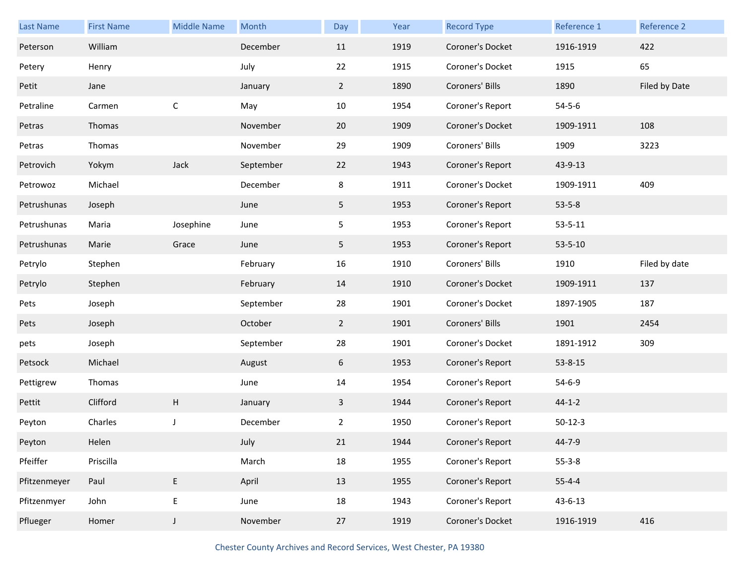| <b>Last Name</b> | <b>First Name</b> | <b>Middle Name</b> | Month     | Day            | Year | <b>Record Type</b> | Reference 1   | Reference 2   |
|------------------|-------------------|--------------------|-----------|----------------|------|--------------------|---------------|---------------|
| Peterson         | William           |                    | December  | 11             | 1919 | Coroner's Docket   | 1916-1919     | 422           |
| Petery           | Henry             |                    | July      | 22             | 1915 | Coroner's Docket   | 1915          | 65            |
| Petit            | Jane              |                    | January   | $2^{\circ}$    | 1890 | Coroners' Bills    | 1890          | Filed by Date |
| Petraline        | Carmen            | $\mathsf C$        | May       | 10             | 1954 | Coroner's Report   | $54 - 5 - 6$  |               |
| Petras           | Thomas            |                    | November  | 20             | 1909 | Coroner's Docket   | 1909-1911     | 108           |
| Petras           | Thomas            |                    | November  | 29             | 1909 | Coroners' Bills    | 1909          | 3223          |
| Petrovich        | Yokym             | Jack               | September | 22             | 1943 | Coroner's Report   | 43-9-13       |               |
| Petrowoz         | Michael           |                    | December  | 8              | 1911 | Coroner's Docket   | 1909-1911     | 409           |
| Petrushunas      | Joseph            |                    | June      | 5              | 1953 | Coroner's Report   | $53 - 5 - 8$  |               |
| Petrushunas      | Maria             | Josephine          | June      | 5              | 1953 | Coroner's Report   | $53 - 5 - 11$ |               |
| Petrushunas      | Marie             | Grace              | June      | 5              | 1953 | Coroner's Report   | $53 - 5 - 10$ |               |
| Petrylo          | Stephen           |                    | February  | 16             | 1910 | Coroners' Bills    | 1910          | Filed by date |
| Petrylo          | Stephen           |                    | February  | 14             | 1910 | Coroner's Docket   | 1909-1911     | 137           |
| Pets             | Joseph            |                    | September | 28             | 1901 | Coroner's Docket   | 1897-1905     | 187           |
| Pets             | Joseph            |                    | October   | $\overline{2}$ | 1901 | Coroners' Bills    | 1901          | 2454          |
| pets             | Joseph            |                    | September | 28             | 1901 | Coroner's Docket   | 1891-1912     | 309           |
| Petsock          | Michael           |                    | August    | 6              | 1953 | Coroner's Report   | 53-8-15       |               |
| Pettigrew        | Thomas            |                    | June      | 14             | 1954 | Coroner's Report   | $54 - 6 - 9$  |               |
| Pettit           | Clifford          | H                  | January   | 3              | 1944 | Coroner's Report   | $44 - 1 - 2$  |               |
| Peyton           | Charles           | J                  | December  | $\overline{2}$ | 1950 | Coroner's Report   | $50-12-3$     |               |
| Peyton           | Helen             |                    | July      | 21             | 1944 | Coroner's Report   | 44-7-9        |               |
| Pfeiffer         | Priscilla         |                    | March     | 18             | 1955 | Coroner's Report   | $55 - 3 - 8$  |               |
| Pfitzenmeyer     | Paul              | E                  | April     | 13             | 1955 | Coroner's Report   | $55 - 4 - 4$  |               |
| Pfitzenmyer      | John              | E                  | June      | 18             | 1943 | Coroner's Report   | $43 - 6 - 13$ |               |
| Pflueger         | Homer             | $\mathsf J$        | November  | 27             | 1919 | Coroner's Docket   | 1916-1919     | 416           |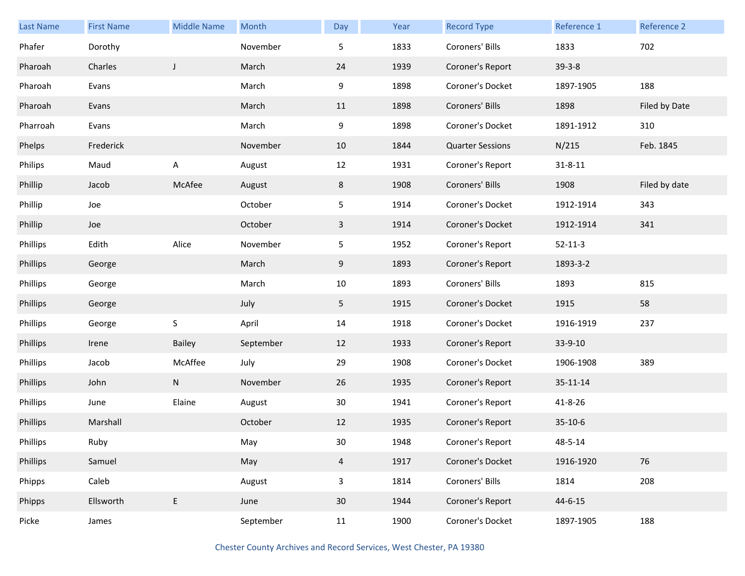| Last Name | <b>First Name</b> | <b>Middle Name</b> | Month     | Day             | Year | <b>Record Type</b>      | Reference 1   | <b>Reference 2</b> |
|-----------|-------------------|--------------------|-----------|-----------------|------|-------------------------|---------------|--------------------|
| Phafer    | Dorothy           |                    | November  | 5               | 1833 | Coroners' Bills         | 1833          | 702                |
| Pharoah   | Charles           | J                  | March     | 24              | 1939 | Coroner's Report        | $39-3-8$      |                    |
| Pharoah   | Evans             |                    | March     | 9               | 1898 | Coroner's Docket        | 1897-1905     | 188                |
| Pharoah   | Evans             |                    | March     | 11              | 1898 | Coroners' Bills         | 1898          | Filed by Date      |
| Pharroah  | Evans             |                    | March     | 9               | 1898 | Coroner's Docket        | 1891-1912     | 310                |
| Phelps    | Frederick         |                    | November  | 10              | 1844 | <b>Quarter Sessions</b> | N/215         | Feb. 1845          |
| Philips   | Maud              | A                  | August    | 12              | 1931 | Coroner's Report        | $31 - 8 - 11$ |                    |
| Phillip   | Jacob             | McAfee             | August    | 8               | 1908 | Coroners' Bills         | 1908          | Filed by date      |
| Phillip   | Joe               |                    | October   | 5 <sub>1</sub>  | 1914 | Coroner's Docket        | 1912-1914     | 343                |
| Phillip   | Joe               |                    | October   | 3               | 1914 | Coroner's Docket        | 1912-1914     | 341                |
| Phillips  | Edith             | Alice              | November  | 5               | 1952 | Coroner's Report        | $52 - 11 - 3$ |                    |
| Phillips  | George            |                    | March     | 9               | 1893 | Coroner's Report        | 1893-3-2      |                    |
| Phillips  | George            |                    | March     | 10              | 1893 | Coroners' Bills         | 1893          | 815                |
| Phillips  | George            |                    | July      | 5               | 1915 | Coroner's Docket        | 1915          | 58                 |
| Phillips  | George            | $\sf S$            | April     | 14              | 1918 | Coroner's Docket        | 1916-1919     | 237                |
| Phillips  | Irene             | Bailey             | September | 12              | 1933 | Coroner's Report        | 33-9-10       |                    |
| Phillips  | Jacob             | McAffee            | July      | 29              | 1908 | Coroner's Docket        | 1906-1908     | 389                |
| Phillips  | John              | ${\sf N}$          | November  | 26              | 1935 | Coroner's Report        | 35-11-14      |                    |
| Phillips  | June              | Elaine             | August    | $30\,$          | 1941 | Coroner's Report        | 41-8-26       |                    |
| Phillips  | Marshall          |                    | October   | 12              | 1935 | Coroner's Report        | $35-10-6$     |                    |
| Phillips  | Ruby              |                    | May       | $30\,$          | 1948 | Coroner's Report        | 48-5-14       |                    |
| Phillips  | Samuel            |                    | May       | $\overline{4}$  | 1917 | Coroner's Docket        | 1916-1920     | 76                 |
| Phipps    | Caleb             |                    | August    | $\mathsf{3}$    | 1814 | Coroners' Bills         | 1814          | 208                |
| Phipps    | Ellsworth         | E                  | June      | 30 <sup>°</sup> | 1944 | Coroner's Report        | $44 - 6 - 15$ |                    |
| Picke     | James             |                    | September | 11              | 1900 | Coroner's Docket        | 1897-1905     | 188                |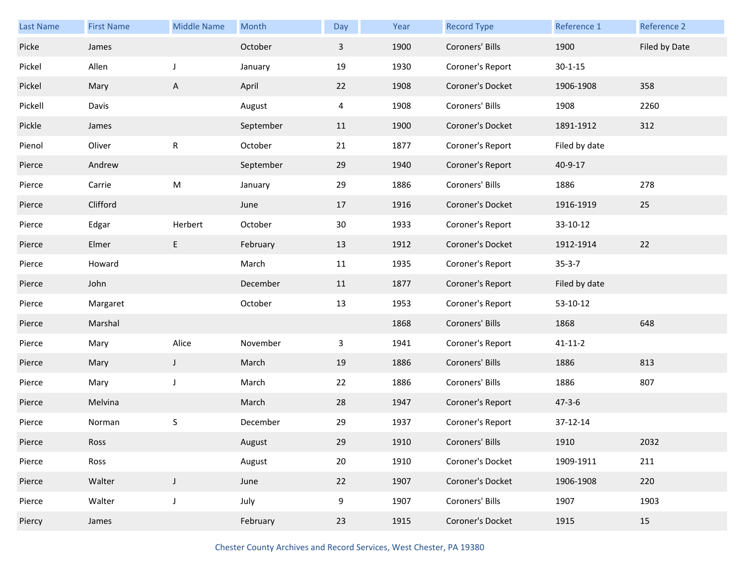| Last Name | <b>First Name</b> | <b>Middle Name</b> | Month     | Day          | Year | <b>Record Type</b> | Reference 1   | Reference 2   |
|-----------|-------------------|--------------------|-----------|--------------|------|--------------------|---------------|---------------|
| Picke     | James             |                    | October   | $\mathbf{3}$ | 1900 | Coroners' Bills    | 1900          | Filed by Date |
| Pickel    | Allen             | J                  | January   | 19           | 1930 | Coroner's Report   | $30 - 1 - 15$ |               |
| Pickel    | Mary              | A                  | April     | 22           | 1908 | Coroner's Docket   | 1906-1908     | 358           |
| Pickell   | Davis             |                    | August    | 4            | 1908 | Coroners' Bills    | 1908          | 2260          |
| Pickle    | James             |                    | September | 11           | 1900 | Coroner's Docket   | 1891-1912     | 312           |
| Pienol    | Oliver            | ${\sf R}$          | October   | 21           | 1877 | Coroner's Report   | Filed by date |               |
| Pierce    | Andrew            |                    | September | 29           | 1940 | Coroner's Report   | 40-9-17       |               |
| Pierce    | Carrie            | ${\sf M}$          | January   | 29           | 1886 | Coroners' Bills    | 1886          | 278           |
| Pierce    | Clifford          |                    | June      | 17           | 1916 | Coroner's Docket   | 1916-1919     | 25            |
| Pierce    | Edgar             | Herbert            | October   | 30           | 1933 | Coroner's Report   | 33-10-12      |               |
| Pierce    | Elmer             | E                  | February  | 13           | 1912 | Coroner's Docket   | 1912-1914     | 22            |
| Pierce    | Howard            |                    | March     | 11           | 1935 | Coroner's Report   | $35 - 3 - 7$  |               |
| Pierce    | John              |                    | December  | 11           | 1877 | Coroner's Report   | Filed by date |               |
| Pierce    | Margaret          |                    | October   | 13           | 1953 | Coroner's Report   | 53-10-12      |               |
| Pierce    | Marshal           |                    |           |              | 1868 | Coroners' Bills    | 1868          | 648           |
| Pierce    | Mary              | Alice              | November  | 3            | 1941 | Coroner's Report   | $41 - 11 - 2$ |               |
| Pierce    | Mary              | J                  | March     | 19           | 1886 | Coroners' Bills    | 1886          | 813           |
| Pierce    | Mary              | J                  | March     | 22           | 1886 | Coroners' Bills    | 1886          | 807           |
| Pierce    | Melvina           |                    | March     | 28           | 1947 | Coroner's Report   | $47 - 3 - 6$  |               |
| Pierce    | Norman            | S                  | December  | 29           | 1937 | Coroner's Report   | 37-12-14      |               |
| Pierce    | Ross              |                    | August    | 29           | 1910 | Coroners' Bills    | 1910          | 2032          |
| Pierce    | Ross              |                    | August    | 20           | 1910 | Coroner's Docket   | 1909-1911     | 211           |
| Pierce    | Walter            | $\mathsf J$        | June      | 22           | 1907 | Coroner's Docket   | 1906-1908     | 220           |
| Pierce    | Walter            | $\mathsf J$        | July      | 9            | 1907 | Coroners' Bills    | 1907          | 1903          |
| Piercy    | James             |                    | February  | 23           | 1915 | Coroner's Docket   | 1915          | 15            |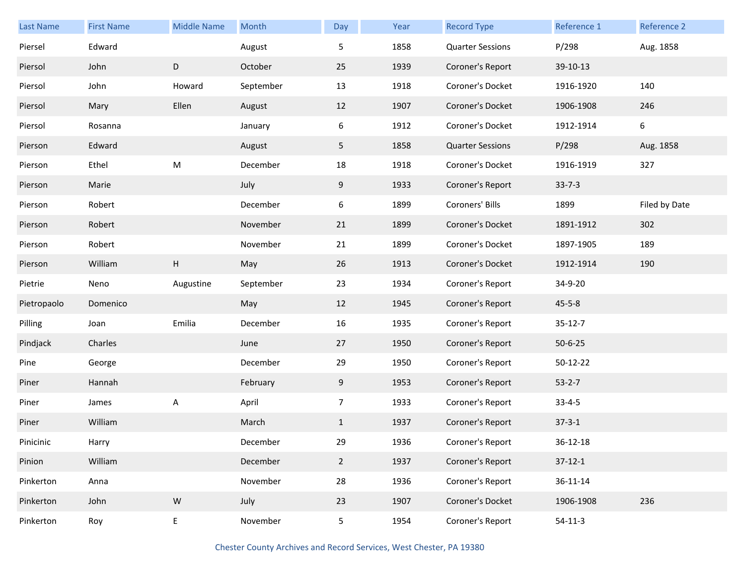| <b>Last Name</b> | <b>First Name</b> | <b>Middle Name</b> | Month     | Day            | Year | <b>Record Type</b>      | Reference 1   | Reference 2   |
|------------------|-------------------|--------------------|-----------|----------------|------|-------------------------|---------------|---------------|
| Piersel          | Edward            |                    | August    | 5              | 1858 | <b>Quarter Sessions</b> | P/298         | Aug. 1858     |
| Piersol          | John              | D                  | October   | 25             | 1939 | Coroner's Report        | 39-10-13      |               |
| Piersol          | John              | Howard             | September | 13             | 1918 | Coroner's Docket        | 1916-1920     | 140           |
| Piersol          | Mary              | Ellen              | August    | 12             | 1907 | Coroner's Docket        | 1906-1908     | 246           |
| Piersol          | Rosanna           |                    | January   | 6              | 1912 | Coroner's Docket        | 1912-1914     | 6             |
| Pierson          | Edward            |                    | August    | 5              | 1858 | <b>Quarter Sessions</b> | P/298         | Aug. 1858     |
| Pierson          | Ethel             | M                  | December  | 18             | 1918 | Coroner's Docket        | 1916-1919     | 327           |
| Pierson          | Marie             |                    | July      | 9              | 1933 | Coroner's Report        | $33 - 7 - 3$  |               |
| Pierson          | Robert            |                    | December  | 6              | 1899 | Coroners' Bills         | 1899          | Filed by Date |
| Pierson          | Robert            |                    | November  | 21             | 1899 | Coroner's Docket        | 1891-1912     | 302           |
| Pierson          | Robert            |                    | November  | 21             | 1899 | Coroner's Docket        | 1897-1905     | 189           |
| Pierson          | William           | H                  | May       | 26             | 1913 | Coroner's Docket        | 1912-1914     | 190           |
| Pietrie          | Neno              | Augustine          | September | 23             | 1934 | Coroner's Report        | 34-9-20       |               |
| Pietropaolo      | Domenico          |                    | May       | 12             | 1945 | Coroner's Report        | $45 - 5 - 8$  |               |
| Pilling          | Joan              | Emilia             | December  | 16             | 1935 | Coroner's Report        | $35 - 12 - 7$ |               |
| Pindjack         | Charles           |                    | June      | 27             | 1950 | Coroner's Report        | $50 - 6 - 25$ |               |
| Pine             | George            |                    | December  | 29             | 1950 | Coroner's Report        | 50-12-22      |               |
| Piner            | Hannah            |                    | February  | 9              | 1953 | Coroner's Report        | $53-2-7$      |               |
| Piner            | James             | A                  | April     | $\overline{7}$ | 1933 | Coroner's Report        | $33 - 4 - 5$  |               |
| Piner            | William           |                    | March     | $\mathbf{1}$   | 1937 | Coroner's Report        | $37 - 3 - 1$  |               |
| Pinicinic        | Harry             |                    | December  | 29             | 1936 | Coroner's Report        | 36-12-18      |               |
| Pinion           | William           |                    | December  | $2^{\circ}$    | 1937 | Coroner's Report        | $37-12-1$     |               |
| Pinkerton        | Anna              |                    | November  | 28             | 1936 | Coroner's Report        | 36-11-14      |               |
| Pinkerton        | John              | ${\sf W}$          | July      | 23             | 1907 | Coroner's Docket        | 1906-1908     | 236           |
| Pinkerton        | Roy               | E                  | November  | 5              | 1954 | Coroner's Report        | $54-11-3$     |               |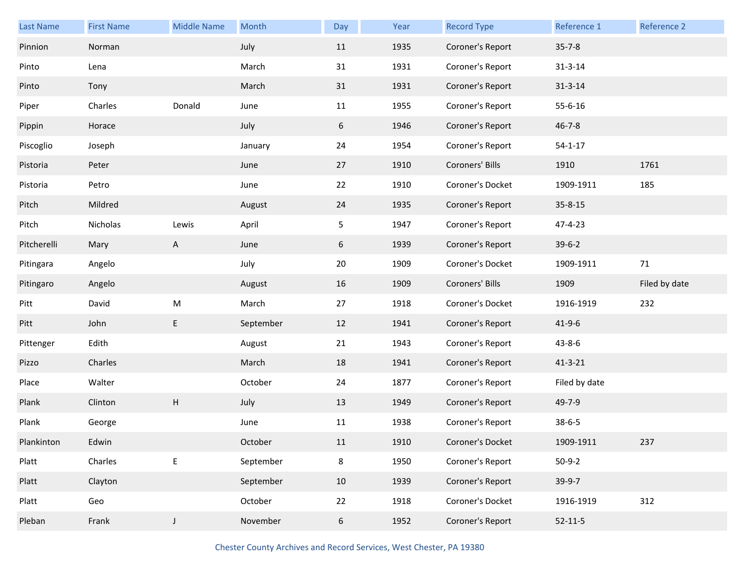| <b>Last Name</b> | <b>First Name</b> | <b>Middle Name</b>        | Month     | Day | Year | <b>Record Type</b> | Reference 1   | Reference 2   |
|------------------|-------------------|---------------------------|-----------|-----|------|--------------------|---------------|---------------|
| Pinnion          | Norman            |                           | July      | 11  | 1935 | Coroner's Report   | $35 - 7 - 8$  |               |
| Pinto            | Lena              |                           | March     | 31  | 1931 | Coroner's Report   | $31 - 3 - 14$ |               |
| Pinto            | Tony              |                           | March     | 31  | 1931 | Coroner's Report   | $31 - 3 - 14$ |               |
| Piper            | Charles           | Donald                    | June      | 11  | 1955 | Coroner's Report   | 55-6-16       |               |
| Pippin           | Horace            |                           | July      | 6   | 1946 | Coroner's Report   | $46 - 7 - 8$  |               |
| Piscoglio        | Joseph            |                           | January   | 24  | 1954 | Coroner's Report   | $54 - 1 - 17$ |               |
| Pistoria         | Peter             |                           | June      | 27  | 1910 | Coroners' Bills    | 1910          | 1761          |
| Pistoria         | Petro             |                           | June      | 22  | 1910 | Coroner's Docket   | 1909-1911     | 185           |
| Pitch            | Mildred           |                           | August    | 24  | 1935 | Coroner's Report   | 35-8-15       |               |
| Pitch            | Nicholas          | Lewis                     | April     | 5   | 1947 | Coroner's Report   | 47-4-23       |               |
| Pitcherelli      | Mary              | A                         | June      | 6   | 1939 | Coroner's Report   | $39-6-2$      |               |
| Pitingara        | Angelo            |                           | July      | 20  | 1909 | Coroner's Docket   | 1909-1911     | 71            |
|                  |                   |                           |           |     |      |                    |               |               |
| Pitingaro        | Angelo            |                           | August    | 16  | 1909 | Coroners' Bills    | 1909          | Filed by date |
| Pitt             | David             | ${\sf M}$                 | March     | 27  | 1918 | Coroner's Docket   | 1916-1919     | 232           |
| Pitt             | John              | E                         | September | 12  | 1941 | Coroner's Report   | $41 - 9 - 6$  |               |
| Pittenger        | Edith             |                           | August    | 21  | 1943 | Coroner's Report   | $43 - 8 - 6$  |               |
| Pizzo            | Charles           |                           | March     | 18  | 1941 | Coroner's Report   | $41 - 3 - 21$ |               |
| Place            | Walter            |                           | October   | 24  | 1877 | Coroner's Report   | Filed by date |               |
| Plank            | Clinton           | $\boldsymbol{\mathsf{H}}$ | July      | 13  | 1949 | Coroner's Report   | 49-7-9        |               |
| Plank            | George            |                           | June      | 11  | 1938 | Coroner's Report   | $38 - 6 - 5$  |               |
| Plankinton       | Edwin             |                           | October   | 11  | 1910 | Coroner's Docket   | 1909-1911     | 237           |
| Platt            | Charles           | $\mathsf E$               | September | 8   | 1950 | Coroner's Report   | $50-9-2$      |               |
| Platt            | Clayton           |                           | September | 10  | 1939 | Coroner's Report   | 39-9-7        |               |
| Platt            | Geo               |                           | October   | 22  | 1918 | Coroner's Docket   | 1916-1919     | 312           |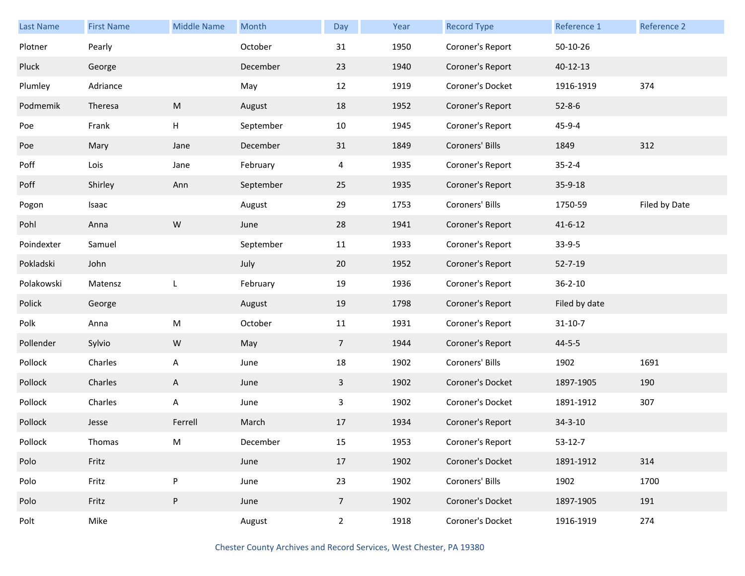| <b>Last Name</b> | <b>First Name</b> | <b>Middle Name</b> | Month     | Day            | Year | <b>Record Type</b> | Reference 1    | Reference 2   |
|------------------|-------------------|--------------------|-----------|----------------|------|--------------------|----------------|---------------|
| Plotner          | Pearly            |                    | October   | 31             | 1950 | Coroner's Report   | 50-10-26       |               |
| Pluck            | George            |                    | December  | 23             | 1940 | Coroner's Report   | $40 - 12 - 13$ |               |
| Plumley          | Adriance          |                    | May       | 12             | 1919 | Coroner's Docket   | 1916-1919      | 374           |
| Podmemik         | Theresa           | M                  | August    | 18             | 1952 | Coroner's Report   | $52 - 8 - 6$   |               |
| Poe              | Frank             | H                  | September | 10             | 1945 | Coroner's Report   | 45-9-4         |               |
| Poe              | Mary              | Jane               | December  | 31             | 1849 | Coroners' Bills    | 1849           | 312           |
| Poff             | Lois              | Jane               | February  | 4              | 1935 | Coroner's Report   | $35 - 2 - 4$   |               |
| Poff             | Shirley           | Ann                | September | 25             | 1935 | Coroner's Report   | 35-9-18        |               |
| Pogon            | Isaac             |                    | August    | 29             | 1753 | Coroners' Bills    | 1750-59        | Filed by Date |
| Pohl             | Anna              | ${\sf W}$          | June      | 28             | 1941 | Coroner's Report   | $41 - 6 - 12$  |               |
| Poindexter       | Samuel            |                    | September | 11             | 1933 | Coroner's Report   | $33-9-5$       |               |
| Pokladski        | John              |                    | July      | 20             | 1952 | Coroner's Report   | $52 - 7 - 19$  |               |
| Polakowski       | Matensz           | L                  | February  | 19             | 1936 | Coroner's Report   | $36 - 2 - 10$  |               |
| Polick           | George            |                    | August    | 19             | 1798 | Coroner's Report   | Filed by date  |               |
| Polk             | Anna              | ${\sf M}$          | October   | 11             | 1931 | Coroner's Report   | $31 - 10 - 7$  |               |
| Pollender        | Sylvio            | W                  | May       | 7 <sup>1</sup> | 1944 | Coroner's Report   | $44 - 5 - 5$   |               |
| Pollock          | Charles           | A                  | June      | 18             | 1902 | Coroners' Bills    | 1902           | 1691          |
| Pollock          | Charles           | A                  | June      | 3              | 1902 | Coroner's Docket   | 1897-1905      | 190           |
| Pollock          | Charles           | A                  | June      | $\mathbf{3}$   | 1902 | Coroner's Docket   | 1891-1912      | 307           |
| Pollock          | Jesse             | Ferrell            | March     | 17             | 1934 | Coroner's Report   | $34 - 3 - 10$  |               |
| Pollock          | Thomas            | M                  | December  | 15             | 1953 | Coroner's Report   | $53 - 12 - 7$  |               |
| Polo             | Fritz             |                    | June      | 17             | 1902 | Coroner's Docket   | 1891-1912      | 314           |
| Polo             | Fritz             | P                  | June      | 23             | 1902 | Coroners' Bills    | 1902           | 1700          |
| Polo             | Fritz             | P                  | June      | 7 <sup>7</sup> | 1902 | Coroner's Docket   | 1897-1905      | 191           |
| Polt             | Mike              |                    | August    | $\overline{2}$ | 1918 | Coroner's Docket   | 1916-1919      | 274           |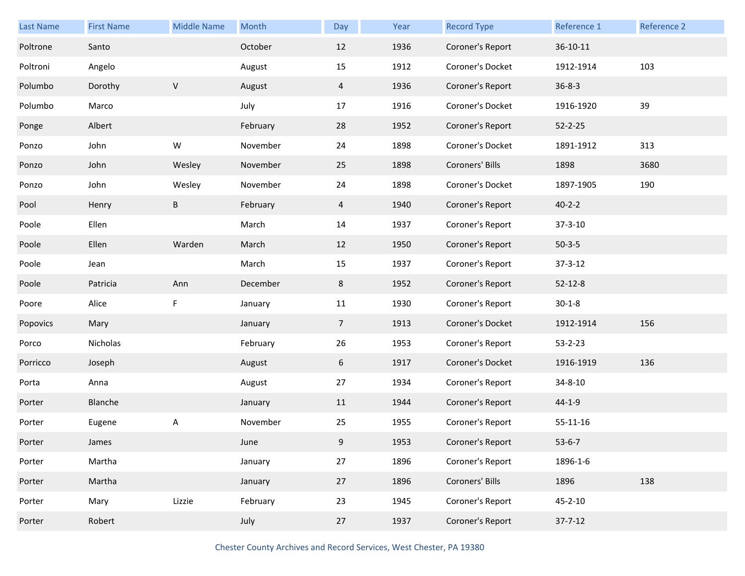| Last Name | <b>First Name</b> | <b>Middle Name</b> | Month    | Day            | Year | <b>Record Type</b> | Reference 1    | Reference 2 |
|-----------|-------------------|--------------------|----------|----------------|------|--------------------|----------------|-------------|
| Poltrone  | Santo             |                    | October  | 12             | 1936 | Coroner's Report   | 36-10-11       |             |
| Poltroni  | Angelo            |                    | August   | 15             | 1912 | Coroner's Docket   | 1912-1914      | 103         |
| Polumbo   | Dorothy           | V                  | August   | $\overline{4}$ | 1936 | Coroner's Report   | $36 - 8 - 3$   |             |
| Polumbo   | Marco             |                    | July     | 17             | 1916 | Coroner's Docket   | 1916-1920      | 39          |
| Ponge     | Albert            |                    | February | 28             | 1952 | Coroner's Report   | $52 - 2 - 25$  |             |
| Ponzo     | John              | W                  | November | 24             | 1898 | Coroner's Docket   | 1891-1912      | 313         |
| Ponzo     | John              | Wesley             | November | 25             | 1898 | Coroners' Bills    | 1898           | 3680        |
| Ponzo     | John              | Wesley             | November | 24             | 1898 | Coroner's Docket   | 1897-1905      | 190         |
| Pool      | Henry             | B                  | February | $\overline{4}$ | 1940 | Coroner's Report   | $40 - 2 - 2$   |             |
| Poole     | Ellen             |                    | March    | 14             | 1937 | Coroner's Report   | $37 - 3 - 10$  |             |
| Poole     | Ellen             | Warden             | March    | 12             | 1950 | Coroner's Report   | $50-3-5$       |             |
| Poole     | Jean              |                    | March    | 15             | 1937 | Coroner's Report   | $37 - 3 - 12$  |             |
| Poole     | Patricia          | Ann                | December | 8              | 1952 | Coroner's Report   | $52 - 12 - 8$  |             |
| Poore     | Alice             | F                  | January  | 11             | 1930 | Coroner's Report   | $30 - 1 - 8$   |             |
| Popovics  | Mary              |                    | January  | $\overline{7}$ | 1913 | Coroner's Docket   | 1912-1914      | 156         |
| Porco     | Nicholas          |                    | February | 26             | 1953 | Coroner's Report   | $53 - 2 - 23$  |             |
| Porricco  | Joseph            |                    | August   | 6              | 1917 | Coroner's Docket   | 1916-1919      | 136         |
| Porta     | Anna              |                    | August   | 27             | 1934 | Coroner's Report   | 34-8-10        |             |
| Porter    | Blanche           |                    | January  | 11             | 1944 | Coroner's Report   | $44 - 1 - 9$   |             |
| Porter    | Eugene            | Α                  | November | 25             | 1955 | Coroner's Report   | $55 - 11 - 16$ |             |
| Porter    | James             |                    | June     | 9              | 1953 | Coroner's Report   | $53 - 6 - 7$   |             |
| Porter    | Martha            |                    | January  | 27             | 1896 | Coroner's Report   | 1896-1-6       |             |
| Porter    | Martha            |                    | January  | 27             | 1896 | Coroners' Bills    | 1896           | 138         |
| Porter    | Mary              | Lizzie             | February | 23             | 1945 | Coroner's Report   | $45 - 2 - 10$  |             |
| Porter    | Robert            |                    | July     | 27             | 1937 | Coroner's Report   | $37 - 7 - 12$  |             |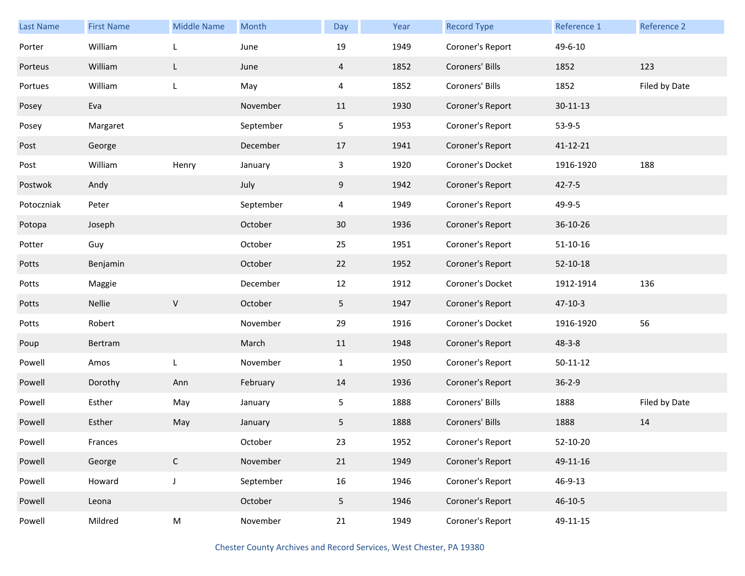| <b>Last Name</b> | <b>First Name</b> | <b>Middle Name</b> | Month     | Day            | Year | <b>Record Type</b> | Reference 1    | <b>Reference 2</b> |
|------------------|-------------------|--------------------|-----------|----------------|------|--------------------|----------------|--------------------|
| Porter           | William           | L                  | June      | 19             | 1949 | Coroner's Report   | 49-6-10        |                    |
| Porteus          | William           | L                  | June      | $\overline{4}$ | 1852 | Coroners' Bills    | 1852           | 123                |
| Portues          | William           | L                  | May       | 4              | 1852 | Coroners' Bills    | 1852           | Filed by Date      |
| Posey            | Eva               |                    | November  | 11             | 1930 | Coroner's Report   | $30 - 11 - 13$ |                    |
| Posey            | Margaret          |                    | September | 5 <sub>5</sub> | 1953 | Coroner's Report   | $53-9-5$       |                    |
| Post             | George            |                    | December  | 17             | 1941 | Coroner's Report   | 41-12-21       |                    |
| Post             | William           | Henry              | January   | 3              | 1920 | Coroner's Docket   | 1916-1920      | 188                |
| Postwok          | Andy              |                    | July      | 9              | 1942 | Coroner's Report   | $42 - 7 - 5$   |                    |
| Potoczniak       | Peter             |                    | September | $\overline{4}$ | 1949 | Coroner's Report   | 49-9-5         |                    |
| Potopa           | Joseph            |                    | October   | 30             | 1936 | Coroner's Report   | 36-10-26       |                    |
| Potter           | Guy               |                    | October   | 25             | 1951 | Coroner's Report   | $51-10-16$     |                    |
| Potts            | Benjamin          |                    | October   | 22             | 1952 | Coroner's Report   | 52-10-18       |                    |
| Potts            | Maggie            |                    | December  | 12             | 1912 | Coroner's Docket   | 1912-1914      | 136                |
| Potts            | Nellie            | $\mathsf V$        | October   | 5 <sub>1</sub> | 1947 | Coroner's Report   | $47 - 10 - 3$  |                    |
| Potts            | Robert            |                    | November  | 29             | 1916 | Coroner's Docket   | 1916-1920      | 56                 |
| Poup             | Bertram           |                    | March     | 11             | 1948 | Coroner's Report   | $48 - 3 - 8$   |                    |
| Powell           | Amos              | L                  | November  | $\mathbf{1}$   | 1950 | Coroner's Report   | $50 - 11 - 12$ |                    |
| Powell           | Dorothy           | Ann                | February  | 14             | 1936 | Coroner's Report   | $36 - 2 - 9$   |                    |
| Powell           | Esther            | May                | January   | 5              | 1888 | Coroners' Bills    | 1888           | Filed by Date      |
| Powell           | Esther            | May                | January   | 5              | 1888 | Coroners' Bills    | 1888           | 14                 |
| Powell           | Frances           |                    | October   | 23             | 1952 | Coroner's Report   | 52-10-20       |                    |
| Powell           | George            | $\mathsf{C}$       | November  | 21             | 1949 | Coroner's Report   | 49-11-16       |                    |
| Powell           | Howard            | $\mathsf J$        | September | 16             | 1946 | Coroner's Report   | 46-9-13        |                    |
| Powell           | Leona             |                    | October   | 5 <sub>1</sub> | 1946 | Coroner's Report   | 46-10-5        |                    |
| Powell           | Mildred           | ${\sf M}$          | November  | 21             | 1949 | Coroner's Report   | 49-11-15       |                    |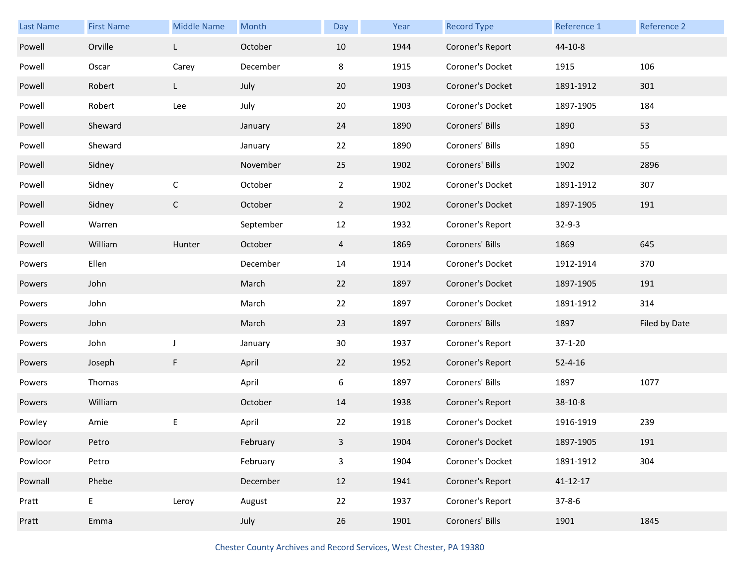| Last Name | <b>First Name</b>                          | <b>Middle Name</b> | Month     | Day            | Year | <b>Record Type</b> | Reference 1    | Reference 2   |
|-----------|--------------------------------------------|--------------------|-----------|----------------|------|--------------------|----------------|---------------|
| Powell    | Orville                                    | L                  | October   | 10             | 1944 | Coroner's Report   | 44-10-8        |               |
| Powell    | Oscar                                      | Carey              | December  | 8              | 1915 | Coroner's Docket   | 1915           | 106           |
| Powell    | Robert                                     | L                  | July      | 20             | 1903 | Coroner's Docket   | 1891-1912      | 301           |
| Powell    | Robert                                     | Lee                | July      | 20             | 1903 | Coroner's Docket   | 1897-1905      | 184           |
| Powell    | Sheward                                    |                    | January   | 24             | 1890 | Coroners' Bills    | 1890           | 53            |
| Powell    | Sheward                                    |                    | January   | 22             | 1890 | Coroners' Bills    | 1890           | 55            |
| Powell    | Sidney                                     |                    | November  | 25             | 1902 | Coroners' Bills    | 1902           | 2896          |
| Powell    | Sidney                                     | $\mathsf C$        | October   | $\overline{2}$ | 1902 | Coroner's Docket   | 1891-1912      | 307           |
| Powell    | Sidney                                     | $\mathsf C$        | October   | $2^{\circ}$    | 1902 | Coroner's Docket   | 1897-1905      | 191           |
| Powell    | Warren                                     |                    | September | 12             | 1932 | Coroner's Report   | $32 - 9 - 3$   |               |
| Powell    | William                                    | Hunter             | October   | $\overline{4}$ | 1869 | Coroners' Bills    | 1869           | 645           |
| Powers    | Ellen                                      |                    | December  | 14             | 1914 | Coroner's Docket   | 1912-1914      | 370           |
| Powers    | John                                       |                    | March     | 22             | 1897 | Coroner's Docket   | 1897-1905      | 191           |
| Powers    | John                                       |                    | March     | 22             | 1897 | Coroner's Docket   | 1891-1912      | 314           |
| Powers    | John                                       |                    | March     | 23             | 1897 | Coroners' Bills    | 1897           | Filed by Date |
| Powers    | John                                       | J                  | January   | 30             | 1937 | Coroner's Report   | $37 - 1 - 20$  |               |
| Powers    | Joseph                                     | F                  | April     | 22             | 1952 | Coroner's Report   | $52 - 4 - 16$  |               |
| Powers    | Thomas                                     |                    | April     | 6              | 1897 | Coroners' Bills    | 1897           | 1077          |
| Powers    | William                                    |                    | October   | 14             | 1938 | Coroner's Report   | $38-10-8$      |               |
| Powley    | Amie                                       | E                  | April     | 22             | 1918 | Coroner's Docket   | 1916-1919      | 239           |
| Powloor   | Petro                                      |                    | February  | $\mathbf{3}$   | 1904 | Coroner's Docket   | 1897-1905      | 191           |
| Powloor   | Petro                                      |                    | February  | $\mathbf{3}$   | 1904 | Coroner's Docket   | 1891-1912      | 304           |
| Pownall   | Phebe                                      |                    | December  | 12             | 1941 | Coroner's Report   | $41 - 12 - 17$ |               |
| Pratt     | $\mathsf{E}% _{0}\left( \mathsf{E}\right)$ | Leroy              | August    | 22             | 1937 | Coroner's Report   | $37 - 8 - 6$   |               |
| Pratt     | Emma                                       |                    | July      | 26             | 1901 | Coroners' Bills    | 1901           | 1845          |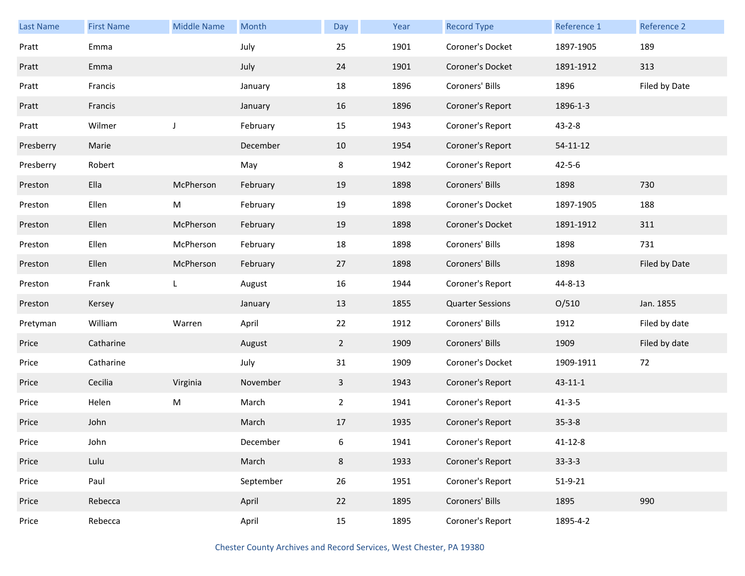| <b>Last Name</b> | <b>First Name</b> | <b>Middle Name</b> | Month     | Day            | Year | <b>Record Type</b>      | Reference 1    | Reference 2   |
|------------------|-------------------|--------------------|-----------|----------------|------|-------------------------|----------------|---------------|
| Pratt            | Emma              |                    | July      | 25             | 1901 | Coroner's Docket        | 1897-1905      | 189           |
| Pratt            | Emma              |                    | July      | 24             | 1901 | Coroner's Docket        | 1891-1912      | 313           |
| Pratt            | Francis           |                    | January   | 18             | 1896 | Coroners' Bills         | 1896           | Filed by Date |
| Pratt            | Francis           |                    | January   | 16             | 1896 | Coroner's Report        | 1896-1-3       |               |
| Pratt            | Wilmer            | J                  | February  | 15             | 1943 | Coroner's Report        | $43 - 2 - 8$   |               |
| Presberry        | Marie             |                    | December  | 10             | 1954 | Coroner's Report        | $54 - 11 - 12$ |               |
| Presberry        | Robert            |                    | May       | 8              | 1942 | Coroner's Report        | $42 - 5 - 6$   |               |
| Preston          | Ella              | McPherson          | February  | 19             | 1898 | Coroners' Bills         | 1898           | 730           |
| Preston          | Ellen             | M                  | February  | 19             | 1898 | Coroner's Docket        | 1897-1905      | 188           |
| Preston          | Ellen             | McPherson          | February  | 19             | 1898 | Coroner's Docket        | 1891-1912      | 311           |
| Preston          | Ellen             | McPherson          | February  | 18             | 1898 | Coroners' Bills         | 1898           | 731           |
| Preston          | Ellen             | McPherson          | February  | 27             | 1898 | Coroners' Bills         | 1898           | Filed by Date |
| Preston          | Frank             | L                  | August    | 16             | 1944 | Coroner's Report        | 44-8-13        |               |
| Preston          | Kersey            |                    | January   | 13             | 1855 | <b>Quarter Sessions</b> | O/510          | Jan. 1855     |
| Pretyman         | William           | Warren             | April     | 22             | 1912 | Coroners' Bills         | 1912           | Filed by date |
| Price            | Catharine         |                    | August    | $\overline{2}$ | 1909 | Coroners' Bills         | 1909           | Filed by date |
| Price            | Catharine         |                    | July      | 31             | 1909 | Coroner's Docket        | 1909-1911      | 72            |
| Price            | Cecilia           | Virginia           | November  | $\mathbf{3}$   | 1943 | Coroner's Report        | $43 - 11 - 1$  |               |
| Price            | Helen             | M                  | March     | $\overline{2}$ | 1941 | Coroner's Report        | $41 - 3 - 5$   |               |
| Price            | John              |                    | March     | 17             | 1935 | Coroner's Report        | $35 - 3 - 8$   |               |
| Price            | John              |                    | December  | 6              | 1941 | Coroner's Report        | $41 - 12 - 8$  |               |
| Price            | Lulu              |                    | March     | 8              | 1933 | Coroner's Report        | $33-3-3$       |               |
| Price            | Paul              |                    | September | 26             | 1951 | Coroner's Report        | $51 - 9 - 21$  |               |
| Price            | Rebecca           |                    | April     | 22             | 1895 | Coroners' Bills         | 1895           | 990           |
| Price            | Rebecca           |                    | April     | 15             | 1895 | Coroner's Report        | 1895-4-2       |               |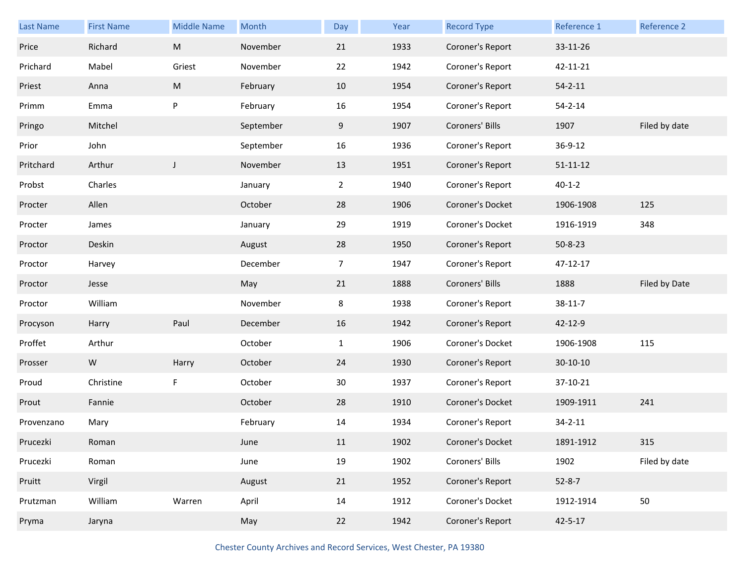| Last Name  | <b>First Name</b> | <b>Middle Name</b> | Month     | Day            | Year | <b>Record Type</b> | Reference 1    | Reference 2   |
|------------|-------------------|--------------------|-----------|----------------|------|--------------------|----------------|---------------|
| Price      | Richard           | ${\sf M}$          | November  | 21             | 1933 | Coroner's Report   | 33-11-26       |               |
| Prichard   | Mabel             | Griest             | November  | 22             | 1942 | Coroner's Report   | 42-11-21       |               |
| Priest     | Anna              | ${\sf M}$          | February  | 10             | 1954 | Coroner's Report   | $54 - 2 - 11$  |               |
| Primm      | Emma              | P                  | February  | 16             | 1954 | Coroner's Report   | $54 - 2 - 14$  |               |
| Pringo     | Mitchel           |                    | September | 9              | 1907 | Coroners' Bills    | 1907           | Filed by date |
| Prior      | John              |                    | September | 16             | 1936 | Coroner's Report   | 36-9-12        |               |
| Pritchard  | Arthur            | $\mathsf J$        | November  | 13             | 1951 | Coroner's Report   | $51 - 11 - 12$ |               |
| Probst     | Charles           |                    | January   | $\overline{2}$ | 1940 | Coroner's Report   | $40 - 1 - 2$   |               |
| Procter    | Allen             |                    | October   | 28             | 1906 | Coroner's Docket   | 1906-1908      | 125           |
| Procter    | James             |                    | January   | 29             | 1919 | Coroner's Docket   | 1916-1919      | 348           |
| Proctor    | Deskin            |                    | August    | 28             | 1950 | Coroner's Report   | $50 - 8 - 23$  |               |
| Proctor    | Harvey            |                    | December  | 7 <sup>7</sup> | 1947 | Coroner's Report   | 47-12-17       |               |
|            |                   |                    |           |                |      |                    |                |               |
| Proctor    | Jesse             |                    | May       | 21             | 1888 | Coroners' Bills    | 1888           | Filed by Date |
| Proctor    | William           |                    | November  | 8              | 1938 | Coroner's Report   | 38-11-7        |               |
| Procyson   | Harry             | Paul               | December  | 16             | 1942 | Coroner's Report   | 42-12-9        |               |
| Proffet    | Arthur            |                    | October   | $\mathbf{1}$   | 1906 | Coroner's Docket   | 1906-1908      | 115           |
| Prosser    | ${\sf W}$         | Harry              | October   | 24             | 1930 | Coroner's Report   | $30-10-10$     |               |
| Proud      | Christine         | F                  | October   | 30             | 1937 | Coroner's Report   | 37-10-21       |               |
| Prout      | Fannie            |                    | October   | 28             | 1910 | Coroner's Docket   | 1909-1911      | 241           |
| Provenzano | Mary              |                    | February  | 14             | 1934 | Coroner's Report   | $34 - 2 - 11$  |               |
| Prucezki   | Roman             |                    | June      | 11             | 1902 | Coroner's Docket   | 1891-1912      | 315           |
| Prucezki   | Roman             |                    | June      | 19             | 1902 | Coroners' Bills    | 1902           | Filed by date |
| Pruitt     | Virgil            |                    | August    | 21             | 1952 | Coroner's Report   | $52 - 8 - 7$   |               |
| Prutzman   | William           | Warren             | April     | 14             | 1912 | Coroner's Docket   | 1912-1914      | 50            |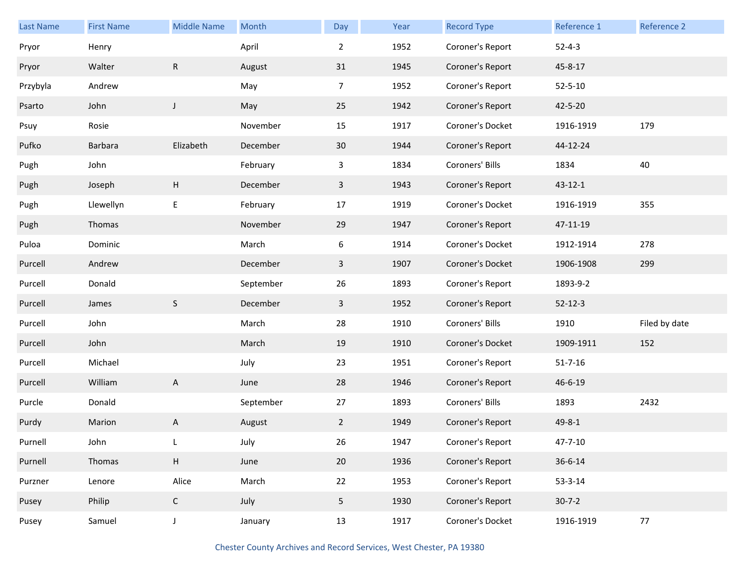| <b>Last Name</b> | <b>First Name</b> | <b>Middle Name</b> | Month     | Day             | Year | <b>Record Type</b> | Reference 1   | Reference 2   |
|------------------|-------------------|--------------------|-----------|-----------------|------|--------------------|---------------|---------------|
| Pryor            | Henry             |                    | April     | $\overline{2}$  | 1952 | Coroner's Report   | $52 - 4 - 3$  |               |
| Pryor            | Walter            | ${\sf R}$          | August    | 31              | 1945 | Coroner's Report   | 45-8-17       |               |
| Przybyla         | Andrew            |                    | May       | $\overline{7}$  | 1952 | Coroner's Report   | $52 - 5 - 10$ |               |
| Psarto           | John              | J                  | May       | 25              | 1942 | Coroner's Report   | 42-5-20       |               |
| Psuy             | Rosie             |                    | November  | 15              | 1917 | Coroner's Docket   | 1916-1919     | 179           |
| Pufko            | Barbara           | Elizabeth          | December  | 30              | 1944 | Coroner's Report   | 44-12-24      |               |
| Pugh             | John              |                    | February  | 3               | 1834 | Coroners' Bills    | 1834          | 40            |
| Pugh             | Joseph            | H                  | December  | 3               | 1943 | Coroner's Report   | $43 - 12 - 1$ |               |
| Pugh             | Llewellyn         | Ε                  | February  | 17              | 1919 | Coroner's Docket   | 1916-1919     | 355           |
| Pugh             | Thomas            |                    | November  | 29              | 1947 | Coroner's Report   | 47-11-19      |               |
| Puloa            | Dominic           |                    | March     | 6               | 1914 | Coroner's Docket   | 1912-1914     | 278           |
| Purcell          | Andrew            |                    | December  | 3               | 1907 | Coroner's Docket   | 1906-1908     | 299           |
| Purcell          | Donald            |                    | September | 26              | 1893 | Coroner's Report   | 1893-9-2      |               |
| Purcell          | James             | $\mathsf S$        | December  | 3               | 1952 | Coroner's Report   | $52 - 12 - 3$ |               |
| Purcell          | John              |                    | March     | 28              | 1910 | Coroners' Bills    | 1910          | Filed by date |
| Purcell          | John              |                    | March     | 19              | 1910 | Coroner's Docket   | 1909-1911     | 152           |
| Purcell          | Michael           |                    | July      | 23              | 1951 | Coroner's Report   | $51 - 7 - 16$ |               |
| Purcell          | William           | A                  | June      | 28              | 1946 | Coroner's Report   | 46-6-19       |               |
| Purcle           | Donald            |                    | September | 27              | 1893 | Coroners' Bills    | 1893          | 2432          |
| Purdy            | Marion            | A                  | August    | $\mathbf{2}$    | 1949 | Coroner's Report   | $49 - 8 - 1$  |               |
| Purnell          | John              |                    | July      | 26              | 1947 | Coroner's Report   | $47 - 7 - 10$ |               |
| Purnell          | Thomas            | H                  | June      | 20              | 1936 | Coroner's Report   | $36 - 6 - 14$ |               |
| Purzner          | Lenore            | Alice              | March     | 22              | 1953 | Coroner's Report   | $53 - 3 - 14$ |               |
| Pusey            | Philip            | $\mathsf C$        | July      | $5\phantom{.0}$ | 1930 | Coroner's Report   | $30 - 7 - 2$  |               |
| Pusey            | Samuel            | $\mathsf J$        | January   | 13              | 1917 | Coroner's Docket   | 1916-1919     | $77\,$        |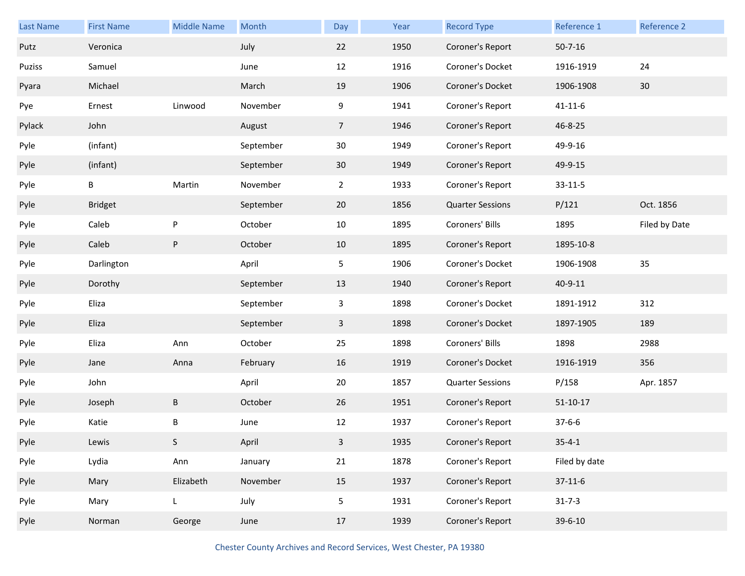| <b>Last Name</b> | <b>First Name</b> | <b>Middle Name</b> | Month     | Day             | Year | <b>Record Type</b>      | Reference 1    | Reference 2   |
|------------------|-------------------|--------------------|-----------|-----------------|------|-------------------------|----------------|---------------|
| Putz             | Veronica          |                    | July      | 22              | 1950 | Coroner's Report        | $50 - 7 - 16$  |               |
| Puziss           | Samuel            |                    | June      | 12              | 1916 | Coroner's Docket        | 1916-1919      | 24            |
| Pyara            | Michael           |                    | March     | 19              | 1906 | Coroner's Docket        | 1906-1908      | 30            |
| Pye              | Ernest            | Linwood            | November  | 9               | 1941 | Coroner's Report        | $41 - 11 - 6$  |               |
| Pylack           | John              |                    | August    | $7\overline{ }$ | 1946 | Coroner's Report        | 46-8-25        |               |
| Pyle             | (infant)          |                    | September | 30              | 1949 | Coroner's Report        | 49-9-16        |               |
| Pyle             | (infant)          |                    | September | 30              | 1949 | Coroner's Report        | 49-9-15        |               |
| Pyle             | В                 | Martin             | November  | $\overline{2}$  | 1933 | Coroner's Report        | $33 - 11 - 5$  |               |
| Pyle             | <b>Bridget</b>    |                    | September | 20              | 1856 | <b>Quarter Sessions</b> | P/121          | Oct. 1856     |
| Pyle             | Caleb             | $\sf P$            | October   | 10              | 1895 | Coroners' Bills         | 1895           | Filed by Date |
| Pyle             | Caleb             | ${\sf P}$          | October   | 10              | 1895 | Coroner's Report        | 1895-10-8      |               |
| Pyle             | Darlington        |                    | April     | 5               | 1906 | Coroner's Docket        | 1906-1908      | 35            |
| Pyle             | Dorothy           |                    | September | 13              | 1940 | Coroner's Report        | 40-9-11        |               |
| Pyle             | Eliza             |                    | September | 3               | 1898 | Coroner's Docket        | 1891-1912      | 312           |
| Pyle             | Eliza             |                    | September | $\mathbf{3}$    | 1898 | Coroner's Docket        | 1897-1905      | 189           |
| Pyle             | Eliza             | Ann                | October   | 25              | 1898 | Coroners' Bills         | 1898           | 2988          |
| Pyle             | Jane              | Anna               | February  | 16              | 1919 | Coroner's Docket        | 1916-1919      | 356           |
| Pyle             | John              |                    | April     | 20              | 1857 | <b>Quarter Sessions</b> | P/158          | Apr. 1857     |
| Pyle             | Joseph            | B                  | October   | 26              | 1951 | Coroner's Report        | $51 - 10 - 17$ |               |
| Pyle             | Katie             | В                  | June      | 12              | 1937 | Coroner's Report        | $37 - 6 - 6$   |               |
| Pyle             | Lewis             | S                  | April     | $\mathbf{3}$    | 1935 | Coroner's Report        | $35 - 4 - 1$   |               |
| Pyle             | Lydia             | Ann                | January   | 21              | 1878 | Coroner's Report        | Filed by date  |               |
| Pyle             | Mary              | Elizabeth          | November  | 15              | 1937 | Coroner's Report        | $37-11-6$      |               |
| Pyle             | Mary              | L                  | July      | 5               | 1931 | Coroner's Report        | $31 - 7 - 3$   |               |
|                  |                   |                    |           |                 |      |                         |                |               |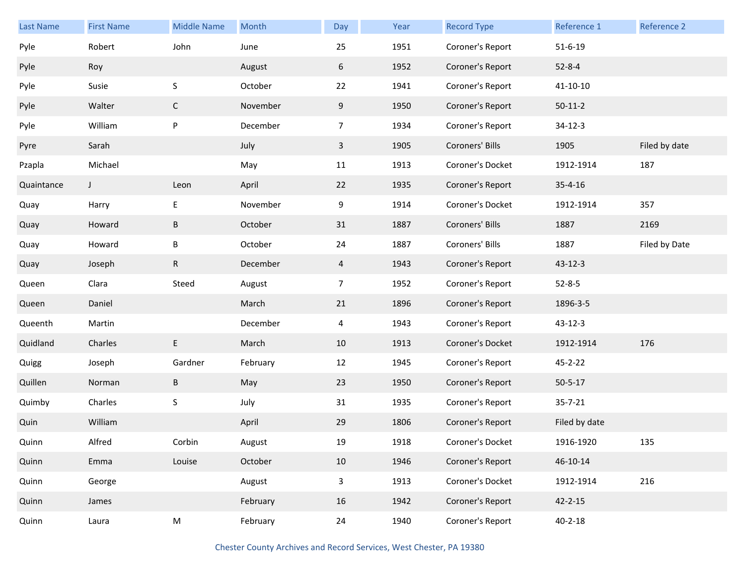| <b>Last Name</b> | <b>First Name</b> | <b>Middle Name</b> | Month    | Day            | Year | <b>Record Type</b> | Reference 1    | Reference 2   |
|------------------|-------------------|--------------------|----------|----------------|------|--------------------|----------------|---------------|
| Pyle             | Robert            | John               | June     | 25             | 1951 | Coroner's Report   | $51 - 6 - 19$  |               |
| Pyle             | Roy               |                    | August   | 6              | 1952 | Coroner's Report   | $52 - 8 - 4$   |               |
| Pyle             | Susie             | $\sf S$            | October  | 22             | 1941 | Coroner's Report   | $41 - 10 - 10$ |               |
| Pyle             | Walter            | $\mathsf{C}$       | November | 9              | 1950 | Coroner's Report   | $50-11-2$      |               |
| Pyle             | William           | P                  | December | $\overline{7}$ | 1934 | Coroner's Report   | $34 - 12 - 3$  |               |
| Pyre             | Sarah             |                    | July     | $\mathbf{3}$   | 1905 | Coroners' Bills    | 1905           | Filed by date |
| Pzapla           | Michael           |                    | May      | 11             | 1913 | Coroner's Docket   | 1912-1914      | 187           |
| Quaintance       | $\mathsf{J}$      | Leon               | April    | 22             | 1935 | Coroner's Report   | $35 - 4 - 16$  |               |
| Quay             | Harry             | $\mathsf E$        | November | 9              | 1914 | Coroner's Docket   | 1912-1914      | 357           |
| Quay             | Howard            | $\sf B$            | October  | 31             | 1887 | Coroners' Bills    | 1887           | 2169          |
| Quay             | Howard            | В                  | October  | 24             | 1887 | Coroners' Bills    | 1887           | Filed by Date |
| Quay             | Joseph            | ${\sf R}$          | December | 4              | 1943 | Coroner's Report   | $43 - 12 - 3$  |               |
| Queen            | Clara             | Steed              | August   | $\overline{7}$ | 1952 | Coroner's Report   | $52 - 8 - 5$   |               |
| Queen            | Daniel            |                    | March    | 21             | 1896 | Coroner's Report   | 1896-3-5       |               |
| Queenth          | Martin            |                    | December | 4              | 1943 | Coroner's Report   | $43 - 12 - 3$  |               |
| Quidland         | Charles           | E                  | March    | 10             | 1913 | Coroner's Docket   | 1912-1914      | 176           |
| Quigg            | Joseph            | Gardner            | February | 12             | 1945 | Coroner's Report   | 45-2-22        |               |
| Quillen          | Norman            | $\sf B$            | May      | 23             | 1950 | Coroner's Report   | $50 - 5 - 17$  |               |
| Quimby           | Charles           | $\sf S$            | July     | 31             | 1935 | Coroner's Report   | $35 - 7 - 21$  |               |
| Quin             | William           |                    | April    | 29             | 1806 | Coroner's Report   | Filed by date  |               |
| Quinn            | Alfred            | Corbin             | August   | 19             | 1918 | Coroner's Docket   | 1916-1920      | 135           |
| Quinn            | Emma              | Louise             | October  | 10             | 1946 | Coroner's Report   | 46-10-14       |               |
| Quinn            | George            |                    | August   | $\mathbf{3}$   | 1913 | Coroner's Docket   | 1912-1914      | 216           |
| Quinn            | James             |                    | February | 16             | 1942 | Coroner's Report   | $42 - 2 - 15$  |               |
| Quinn            | Laura             | M                  | February | 24             | 1940 | Coroner's Report   | $40 - 2 - 18$  |               |